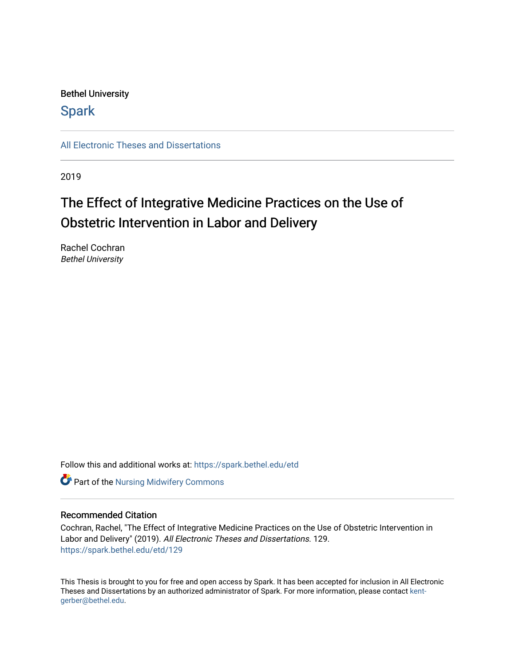# Bethel University

# **Spark**

[All Electronic Theses and Dissertations](https://spark.bethel.edu/etd) 

2019

# The Effect of Integrative Medicine Practices on the Use of Obstetric Intervention in Labor and Delivery

Rachel Cochran Bethel University

Follow this and additional works at: [https://spark.bethel.edu/etd](https://spark.bethel.edu/etd?utm_source=spark.bethel.edu%2Fetd%2F129&utm_medium=PDF&utm_campaign=PDFCoverPages)

**Part of the Nursing Midwifery Commons** 

### Recommended Citation

Cochran, Rachel, "The Effect of Integrative Medicine Practices on the Use of Obstetric Intervention in Labor and Delivery" (2019). All Electronic Theses and Dissertations. 129. [https://spark.bethel.edu/etd/129](https://spark.bethel.edu/etd/129?utm_source=spark.bethel.edu%2Fetd%2F129&utm_medium=PDF&utm_campaign=PDFCoverPages)

This Thesis is brought to you for free and open access by Spark. It has been accepted for inclusion in All Electronic Theses and Dissertations by an authorized administrator of Spark. For more information, please contact [kent](mailto:kent-gerber@bethel.edu)[gerber@bethel.edu.](mailto:kent-gerber@bethel.edu)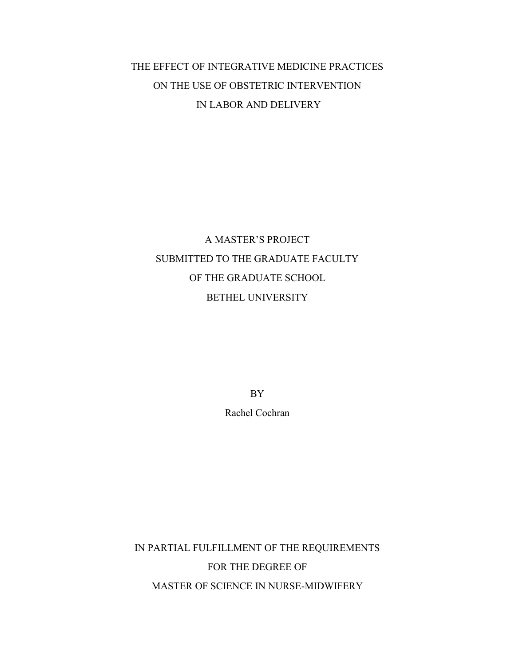# THE EFFECT OF INTEGRATIVE MEDICINE PRACTICES ON THE USE OF OBSTETRIC INTERVENTION IN LABOR AND DELIVERY

# A MASTER'S PROJECT SUBMITTED TO THE GRADUATE FACULTY OF THE GRADUATE SCHOOL BETHEL UNIVERSITY

BY

Rachel Cochran

IN PARTIAL FULFILLMENT OF THE REQUIREMENTS FOR THE DEGREE OF MASTER OF SCIENCE IN NURSE-MIDWIFERY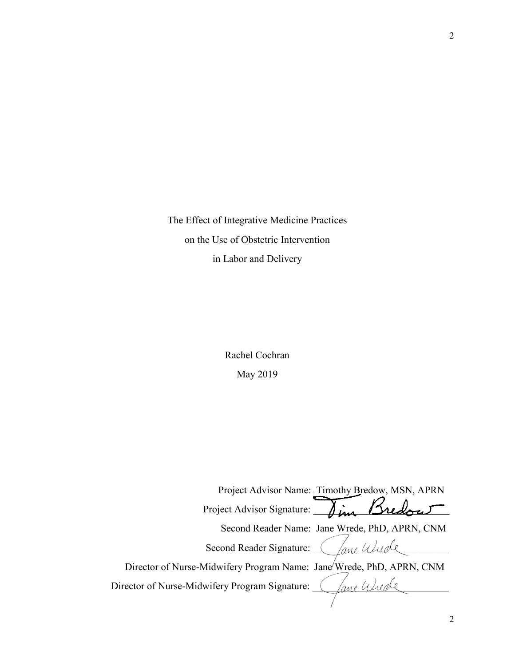The Effect of Integrative Medicine Practices on the Use of Obstetric Intervention in Labor and Delivery

> Rachel Cochran May 2019

 Project Advisor Name: Timothy Bredow, MSN, APRN Project Advisor Signature: Dim Bredout Second Reader Name: Jane Wrede, PhD, APRN, CNM Second Reader Signature: Chang Wurde Director of Nurse-Midwifery Program Name: Jane Wrede, PhD, APRN, CNM Director of Nurse-Midwifery Program Signature: *\_\_\_\_\_\_\_\_\_\_\_\_\_\_\_\_\_\_\_\_\_\_\_\_\_\_\_\_\_\_\_\_\_*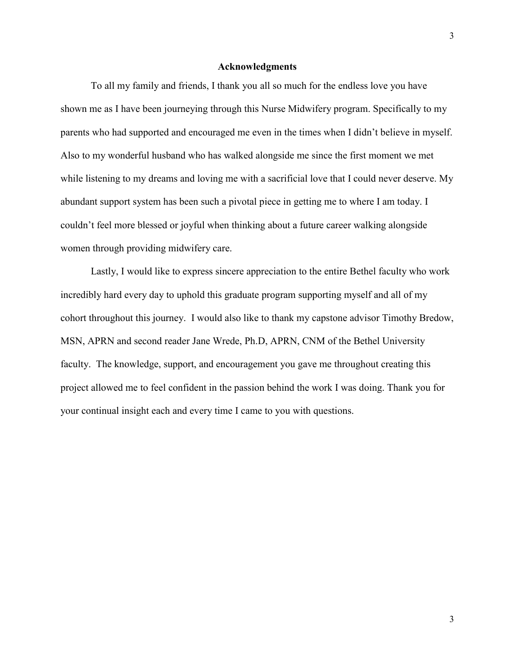#### **Acknowledgments**

To all my family and friends, I thank you all so much for the endless love you have shown me as I have been journeying through this Nurse Midwifery program. Specifically to my parents who had supported and encouraged me even in the times when I didn't believe in myself. Also to my wonderful husband who has walked alongside me since the first moment we met while listening to my dreams and loving me with a sacrificial love that I could never deserve. My abundant support system has been such a pivotal piece in getting me to where I am today. I couldn't feel more blessed or joyful when thinking about a future career walking alongside women through providing midwifery care.

Lastly, I would like to express sincere appreciation to the entire Bethel faculty who work incredibly hard every day to uphold this graduate program supporting myself and all of my cohort throughout this journey. I would also like to thank my capstone advisor Timothy Bredow, MSN, APRN and second reader Jane Wrede, Ph.D, APRN, CNM of the Bethel University faculty. The knowledge, support, and encouragement you gave me throughout creating this project allowed me to feel confident in the passion behind the work I was doing. Thank you for your continual insight each and every time I came to you with questions.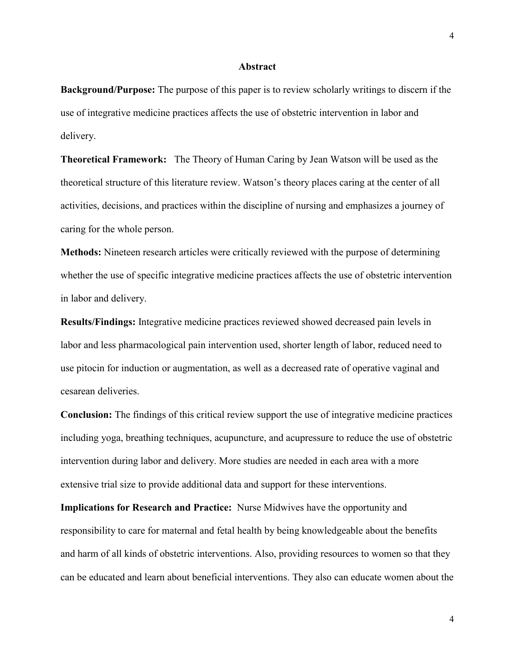#### **Abstract**

**Background/Purpose:** The purpose of this paper is to review scholarly writings to discern if the use of integrative medicine practices affects the use of obstetric intervention in labor and delivery.

**Theoretical Framework:** The Theory of Human Caring by Jean Watson will be used as the theoretical structure of this literature review. Watson's theory places caring at the center of all activities, decisions, and practices within the discipline of nursing and emphasizes a journey of caring for the whole person.

**Methods:** Nineteen research articles were critically reviewed with the purpose of determining whether the use of specific integrative medicine practices affects the use of obstetric intervention in labor and delivery.

**Results/Findings:** Integrative medicine practices reviewed showed decreased pain levels in labor and less pharmacological pain intervention used, shorter length of labor, reduced need to use pitocin for induction or augmentation, as well as a decreased rate of operative vaginal and cesarean deliveries.

**Conclusion:** The findings of this critical review support the use of integrative medicine practices including yoga, breathing techniques, acupuncture, and acupressure to reduce the use of obstetric intervention during labor and delivery. More studies are needed in each area with a more extensive trial size to provide additional data and support for these interventions.

**Implications for Research and Practice:** Nurse Midwives have the opportunity and responsibility to care for maternal and fetal health by being knowledgeable about the benefits and harm of all kinds of obstetric interventions. Also, providing resources to women so that they can be educated and learn about beneficial interventions. They also can educate women about the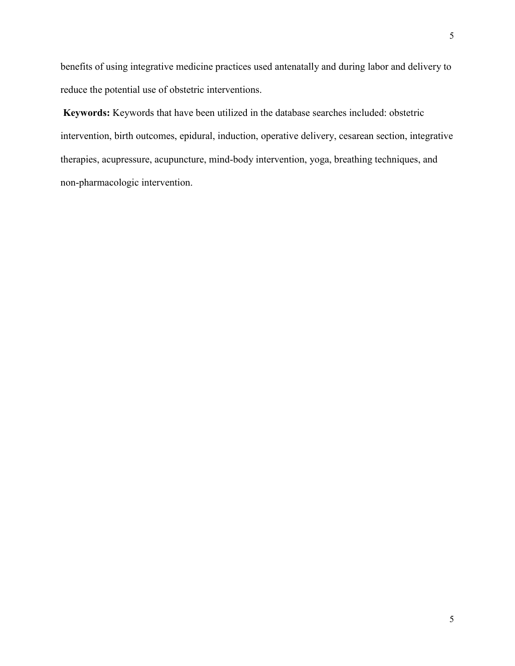benefits of using integrative medicine practices used antenatally and during labor and delivery to reduce the potential use of obstetric interventions.

**Keywords:** Keywords that have been utilized in the database searches included: obstetric intervention, birth outcomes, epidural, induction, operative delivery, cesarean section, integrative therapies, acupressure, acupuncture, mind-body intervention, yoga, breathing techniques, and non-pharmacologic intervention.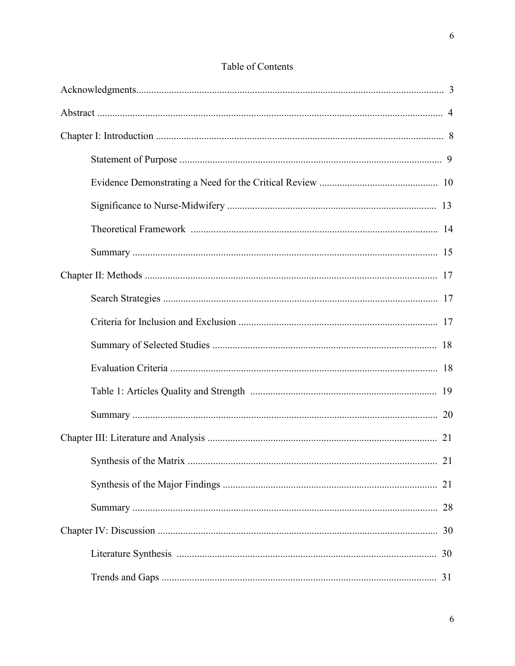# Table of Contents

| 21 |
|----|
|    |
| 21 |
| 28 |
| 30 |
| 30 |
| 31 |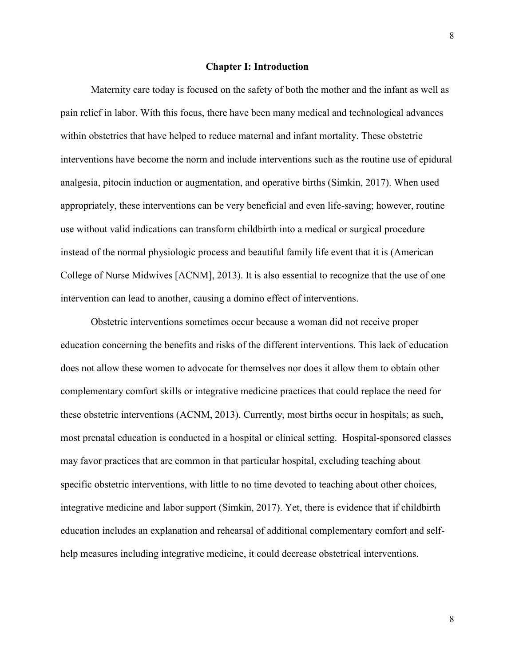#### **Chapter I: Introduction**

Maternity care today is focused on the safety of both the mother and the infant as well as pain relief in labor. With this focus, there have been many medical and technological advances within obstetrics that have helped to reduce maternal and infant mortality. These obstetric interventions have become the norm and include interventions such as the routine use of epidural analgesia, pitocin induction or augmentation, and operative births (Simkin, 2017). When used appropriately, these interventions can be very beneficial and even life-saving; however, routine use without valid indications can transform childbirth into a medical or surgical procedure instead of the normal physiologic process and beautiful family life event that it is (American College of Nurse Midwives [ACNM], 2013). It is also essential to recognize that the use of one intervention can lead to another, causing a domino effect of interventions.

Obstetric interventions sometimes occur because a woman did not receive proper education concerning the benefits and risks of the different interventions. This lack of education does not allow these women to advocate for themselves nor does it allow them to obtain other complementary comfort skills or integrative medicine practices that could replace the need for these obstetric interventions (ACNM, 2013). Currently, most births occur in hospitals; as such, most prenatal education is conducted in a hospital or clinical setting. Hospital-sponsored classes may favor practices that are common in that particular hospital, excluding teaching about specific obstetric interventions, with little to no time devoted to teaching about other choices, integrative medicine and labor support (Simkin, 2017). Yet, there is evidence that if childbirth education includes an explanation and rehearsal of additional complementary comfort and selfhelp measures including integrative medicine, it could decrease obstetrical interventions.

8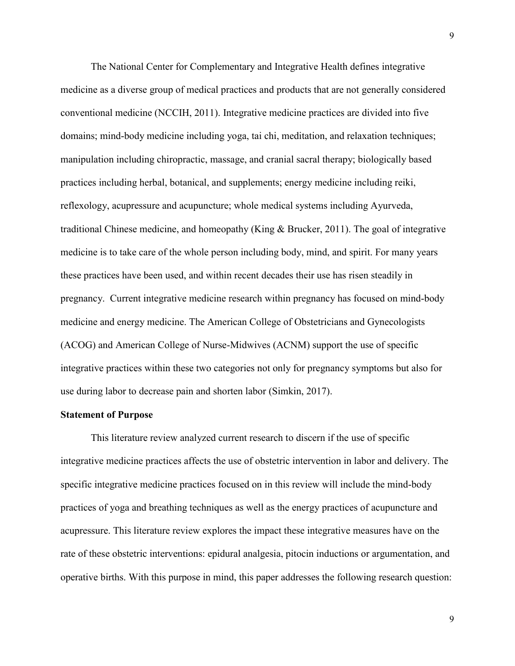The National Center for Complementary and Integrative Health defines integrative medicine as a diverse group of medical practices and products that are not generally considered conventional medicine (NCCIH, 2011). Integrative medicine practices are divided into five domains; mind-body medicine including yoga, tai chi, meditation, and relaxation techniques; manipulation including chiropractic, massage, and cranial sacral therapy; biologically based practices including herbal, botanical, and supplements; energy medicine including reiki, reflexology, acupressure and acupuncture; whole medical systems including Ayurveda, traditional Chinese medicine, and homeopathy (King & Brucker, 2011). The goal of integrative medicine is to take care of the whole person including body, mind, and spirit. For many years these practices have been used, and within recent decades their use has risen steadily in pregnancy. Current integrative medicine research within pregnancy has focused on mind-body medicine and energy medicine. The American College of Obstetricians and Gynecologists (ACOG) and American College of Nurse-Midwives (ACNM) support the use of specific integrative practices within these two categories not only for pregnancy symptoms but also for use during labor to decrease pain and shorten labor (Simkin, 2017).

### **Statement of Purpose**

This literature review analyzed current research to discern if the use of specific integrative medicine practices affects the use of obstetric intervention in labor and delivery. The specific integrative medicine practices focused on in this review will include the mind-body practices of yoga and breathing techniques as well as the energy practices of acupuncture and acupressure. This literature review explores the impact these integrative measures have on the rate of these obstetric interventions: epidural analgesia, pitocin inductions or argumentation, and operative births. With this purpose in mind, this paper addresses the following research question: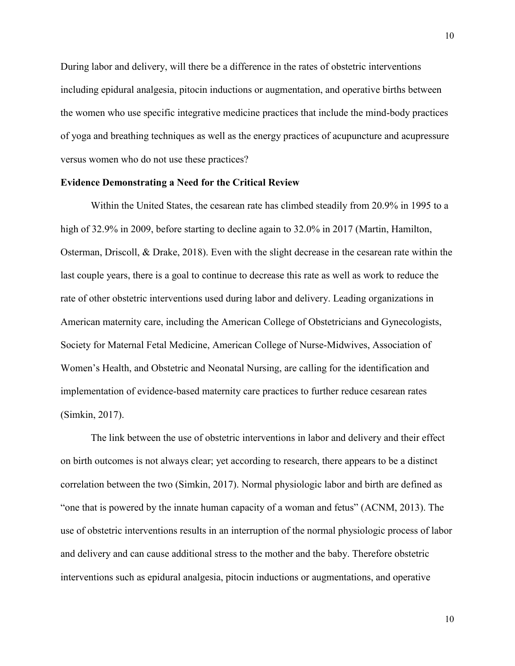During labor and delivery, will there be a difference in the rates of obstetric interventions including epidural analgesia, pitocin inductions or augmentation, and operative births between the women who use specific integrative medicine practices that include the mind-body practices of yoga and breathing techniques as well as the energy practices of acupuncture and acupressure versus women who do not use these practices?

### **Evidence Demonstrating a Need for the Critical Review**

Within the United States, the cesarean rate has climbed steadily from 20.9% in 1995 to a high of 32.9% in 2009, before starting to decline again to 32.0% in 2017 (Martin, Hamilton, Osterman, Driscoll, & Drake, 2018). Even with the slight decrease in the cesarean rate within the last couple years, there is a goal to continue to decrease this rate as well as work to reduce the rate of other obstetric interventions used during labor and delivery. Leading organizations in American maternity care, including the American College of Obstetricians and Gynecologists, Society for Maternal Fetal Medicine, American College of Nurse-Midwives, Association of Women's Health, and Obstetric and Neonatal Nursing, are calling for the identification and implementation of evidence-based maternity care practices to further reduce cesarean rates (Simkin, 2017).

The link between the use of obstetric interventions in labor and delivery and their effect on birth outcomes is not always clear; yet according to research, there appears to be a distinct correlation between the two (Simkin, 2017). Normal physiologic labor and birth are defined as "one that is powered by the innate human capacity of a woman and fetus" (ACNM, 2013). The use of obstetric interventions results in an interruption of the normal physiologic process of labor and delivery and can cause additional stress to the mother and the baby. Therefore obstetric interventions such as epidural analgesia, pitocin inductions or augmentations, and operative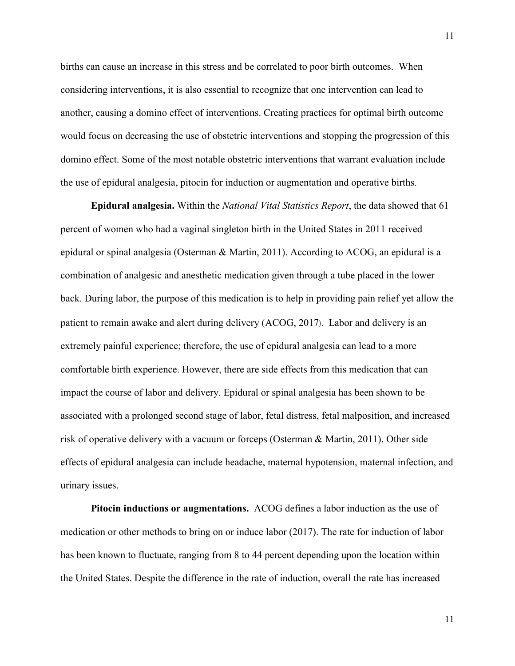births can cause an increase in this stress and be correlated to poor birth outcomes. When considering interventions, it is also essential to recognize that one intervention can lead to another, causing a domino effect of interventions. Creating practices for optimal birth outcome would focus on decreasing the use of obstetric interventions and stopping the progression of this domino effect. Some of the most notable obstetric interventions that warrant evaluation include the use of epidural analgesia, pitocin for induction or augmentation and operative births.

**Epidural analgesia.** Within the *National Vital Statistics Report*, the data showed that 61 percent of women who had a vaginal singleton birth in the United States in 2011 received epidural or spinal analgesia (Osterman & Martin, 2011). According to ACOG, an epidural is a combination of analgesic and anesthetic medication given through a tube placed in the lower back. During labor, the purpose of this medication is to help in providing pain relief yet allow the patient to remain awake and alert during delivery (ACOG, 2017). Labor and delivery is an extremely painful experience; therefore, the use of epidural analgesia can lead to a more comfortable birth experience. However, there are side effects from this medication that can impact the course of labor and delivery. Epidural or spinal analgesia has been shown to be associated with a prolonged second stage of labor, fetal distress, fetal malposition, and increased risk of operative delivery with a vacuum or forceps (Osterman & Martin, 2011). Other side effects of epidural analgesia can include headache, maternal hypotension, maternal infection, and urinary issues.

**Pitocin inductions or augmentations.** ACOG defines a labor induction as the use of medication or other methods to bring on or induce labor (2017). The rate for induction of labor has been known to fluctuate, ranging from 8 to 44 percent depending upon the location within the United States. Despite the difference in the rate of induction, overall the rate has increased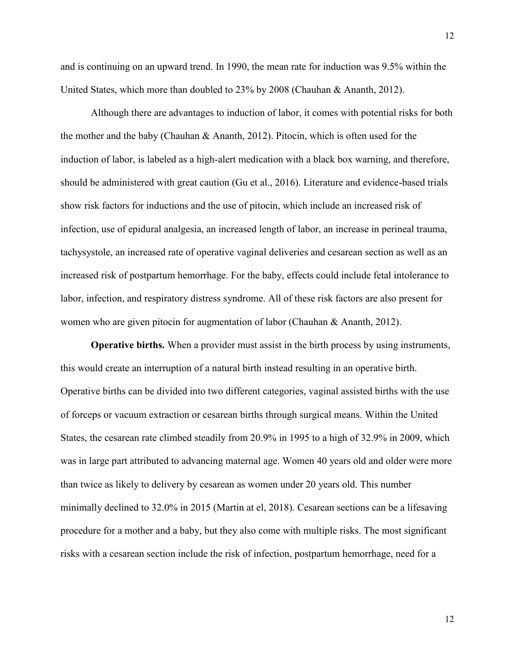and is continuing on an upward trend. In 1990, the mean rate for induction was 9.5% within the United States, which more than doubled to 23% by 2008 (Chauhan & Ananth, 2012).

Although there are advantages to induction of labor, it comes with potential risks for both the mother and the baby (Chauhan & Ananth, 2012). Pitocin, which is often used for the induction of labor, is labeled as a high-alert medication with a black box warning, and therefore, should be administered with great caution (Gu et al., 2016). Literature and evidence-based trials show risk factors for inductions and the use of pitocin, which include an increased risk of infection, use of epidural analgesia, an increased length of labor, an increase in perineal trauma, tachysystole, an increased rate of operative vaginal deliveries and cesarean section as well as an increased risk of postpartum hemorrhage. For the baby, effects could include fetal intolerance to labor, infection, and respiratory distress syndrome. All of these risk factors are also present for women who are given pitocin for augmentation of labor (Chauhan & Ananth, 2012).

**Operative births.** When a provider must assist in the birth process by using instruments, this would create an interruption of a natural birth instead resulting in an operative birth. Operative births can be divided into two different categories, vaginal assisted births with the use of forceps or vacuum extraction or cesarean births through surgical means. Within the United States, the cesarean rate climbed steadily from 20.9% in 1995 to a high of 32.9% in 2009, which was in large part attributed to advancing maternal age. Women 40 years old and older were more than twice as likely to delivery by cesarean as women under 20 years old. This number minimally declined to 32.0% in 2015 (Martin at el, 2018). Cesarean sections can be a lifesaving procedure for a mother and a baby, but they also come with multiple risks. The most significant risks with a cesarean section include the risk of infection, postpartum hemorrhage, need for a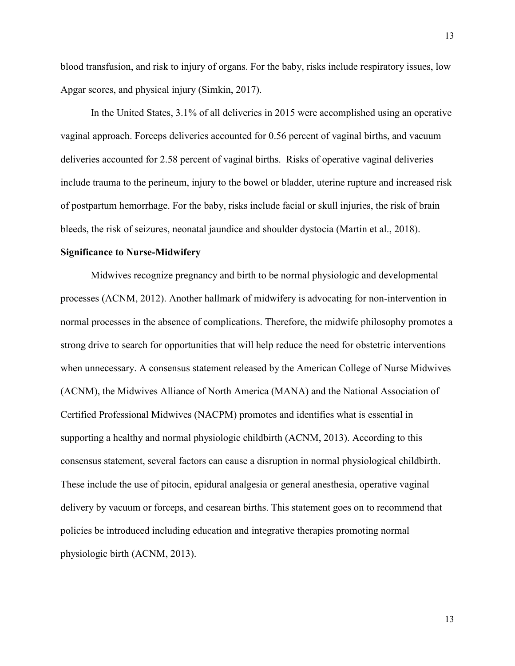blood transfusion, and risk to injury of organs. For the baby, risks include respiratory issues, low Apgar scores, and physical injury (Simkin, 2017).

In the United States, 3.1% of all deliveries in 2015 were accomplished using an operative vaginal approach. Forceps deliveries accounted for 0.56 percent of vaginal births, and vacuum deliveries accounted for 2.58 percent of vaginal births. Risks of operative vaginal deliveries include trauma to the perineum, injury to the bowel or bladder, uterine rupture and increased risk of postpartum hemorrhage. For the baby, risks include facial or skull injuries, the risk of brain bleeds, the risk of seizures, neonatal jaundice and shoulder dystocia (Martin et al., 2018).

#### **Significance to Nurse-Midwifery**

Midwives recognize pregnancy and birth to be normal physiologic and developmental processes (ACNM, 2012). Another hallmark of midwifery is advocating for non-intervention in normal processes in the absence of complications. Therefore, the midwife philosophy promotes a strong drive to search for opportunities that will help reduce the need for obstetric interventions when unnecessary. A consensus statement released by the American College of Nurse Midwives (ACNM), the Midwives Alliance of North America (MANA) and the National Association of Certified Professional Midwives (NACPM) promotes and identifies what is essential in supporting a healthy and normal physiologic childbirth (ACNM, 2013). According to this consensus statement, several factors can cause a disruption in normal physiological childbirth. These include the use of pitocin, epidural analgesia or general anesthesia, operative vaginal delivery by vacuum or forceps, and cesarean births. This statement goes on to recommend that policies be introduced including education and integrative therapies promoting normal physiologic birth (ACNM, 2013).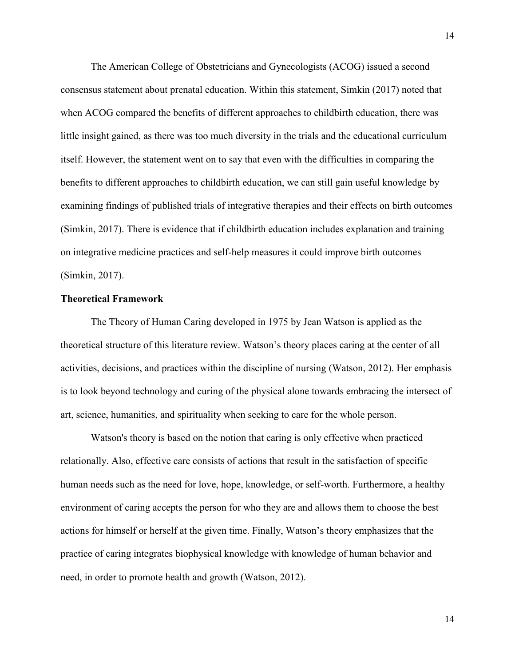The American College of Obstetricians and Gynecologists (ACOG) issued a second consensus statement about prenatal education. Within this statement, Simkin (2017) noted that when ACOG compared the benefits of different approaches to childbirth education, there was little insight gained, as there was too much diversity in the trials and the educational curriculum itself. However, the statement went on to say that even with the difficulties in comparing the benefits to different approaches to childbirth education, we can still gain useful knowledge by examining findings of published trials of integrative therapies and their effects on birth outcomes (Simkin, 2017). There is evidence that if childbirth education includes explanation and training on integrative medicine practices and self-help measures it could improve birth outcomes (Simkin, 2017).

### **Theoretical Framework**

The Theory of Human Caring developed in 1975 by Jean Watson is applied as the theoretical structure of this literature review. Watson's theory places caring at the center of all activities, decisions, and practices within the discipline of nursing (Watson, 2012). Her emphasis is to look beyond technology and curing of the physical alone towards embracing the intersect of art, science, humanities, and spirituality when seeking to care for the whole person.

Watson's theory is based on the notion that caring is only effective when practiced relationally. Also, effective care consists of actions that result in the satisfaction of specific human needs such as the need for love, hope, knowledge, or self-worth. Furthermore, a healthy environment of caring accepts the person for who they are and allows them to choose the best actions for himself or herself at the given time. Finally, Watson's theory emphasizes that the practice of caring integrates biophysical knowledge with knowledge of human behavior and need, in order to promote health and growth (Watson, 2012).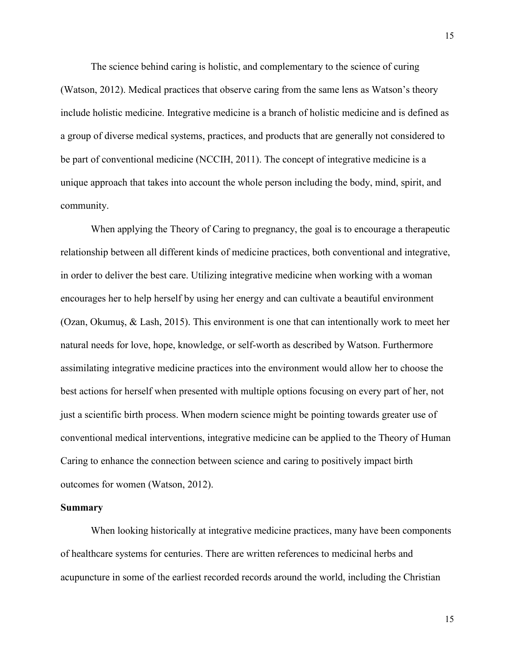The science behind caring is holistic, and complementary to the science of curing (Watson, 2012). Medical practices that observe caring from the same lens as Watson's theory include holistic medicine. Integrative medicine is a branch of holistic medicine and is defined as a group of diverse medical systems, practices, and products that are generally not considered to be part of conventional medicine (NCCIH, 2011). The concept of integrative medicine is a unique approach that takes into account the whole person including the body, mind, spirit, and community.

When applying the Theory of Caring to pregnancy, the goal is to encourage a therapeutic relationship between all different kinds of medicine practices, both conventional and integrative, in order to deliver the best care. Utilizing integrative medicine when working with a woman encourages her to help herself by using her energy and can cultivate a beautiful environment (Ozan, Okumuş, & Lash, 2015). This environment is one that can intentionally work to meet her natural needs for love, hope, knowledge, or self-worth as described by Watson. Furthermore assimilating integrative medicine practices into the environment would allow her to choose the best actions for herself when presented with multiple options focusing on every part of her, not just a scientific birth process. When modern science might be pointing towards greater use of conventional medical interventions, integrative medicine can be applied to the Theory of Human Caring to enhance the connection between science and caring to positively impact birth outcomes for women (Watson, 2012).

#### **Summary**

When looking historically at integrative medicine practices, many have been components of healthcare systems for centuries. There are written references to medicinal herbs and acupuncture in some of the earliest recorded records around the world, including the Christian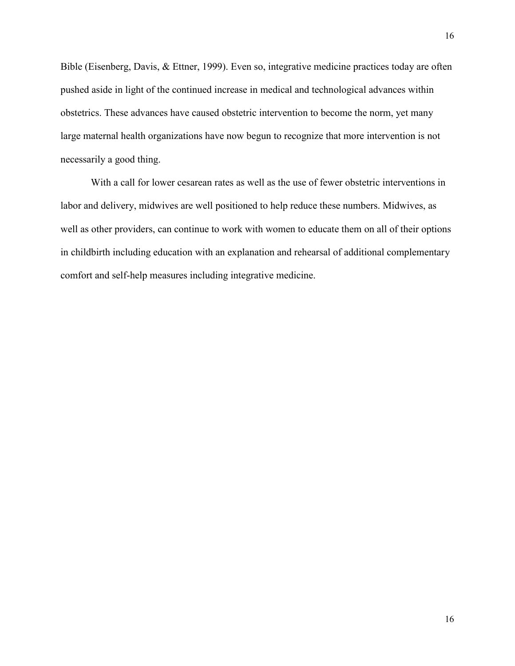Bible (Eisenberg, Davis, & Ettner, 1999). Even so, integrative medicine practices today are often pushed aside in light of the continued increase in medical and technological advances within obstetrics. These advances have caused obstetric intervention to become the norm, yet many large maternal health organizations have now begun to recognize that more intervention is not necessarily a good thing.

With a call for lower cesarean rates as well as the use of fewer obstetric interventions in labor and delivery, midwives are well positioned to help reduce these numbers. Midwives, as well as other providers, can continue to work with women to educate them on all of their options in childbirth including education with an explanation and rehearsal of additional complementary comfort and self-help measures including integrative medicine.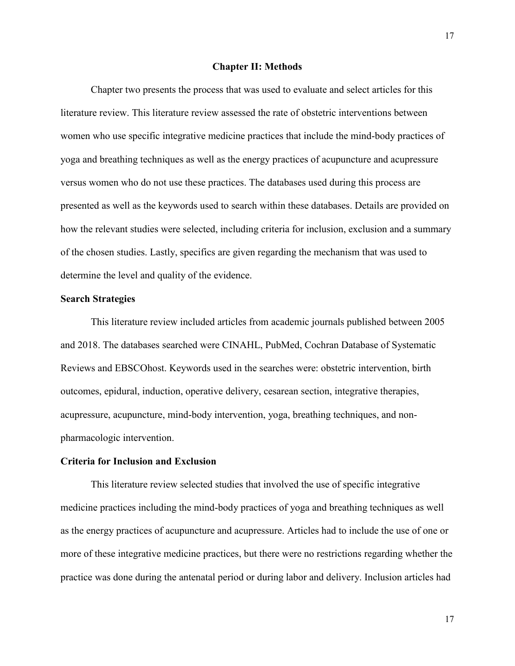### **Chapter II: Methods**

Chapter two presents the process that was used to evaluate and select articles for this literature review. This literature review assessed the rate of obstetric interventions between women who use specific integrative medicine practices that include the mind-body practices of yoga and breathing techniques as well as the energy practices of acupuncture and acupressure versus women who do not use these practices. The databases used during this process are presented as well as the keywords used to search within these databases. Details are provided on how the relevant studies were selected, including criteria for inclusion, exclusion and a summary of the chosen studies. Lastly, specifics are given regarding the mechanism that was used to determine the level and quality of the evidence.

#### **Search Strategies**

This literature review included articles from academic journals published between 2005 and 2018. The databases searched were CINAHL, PubMed, Cochran Database of Systematic Reviews and EBSCOhost. Keywords used in the searches were: obstetric intervention, birth outcomes, epidural, induction, operative delivery, cesarean section, integrative therapies, acupressure, acupuncture, mind-body intervention, yoga, breathing techniques, and nonpharmacologic intervention.

### **Criteria for Inclusion and Exclusion**

This literature review selected studies that involved the use of specific integrative medicine practices including the mind-body practices of yoga and breathing techniques as well as the energy practices of acupuncture and acupressure. Articles had to include the use of one or more of these integrative medicine practices, but there were no restrictions regarding whether the practice was done during the antenatal period or during labor and delivery. Inclusion articles had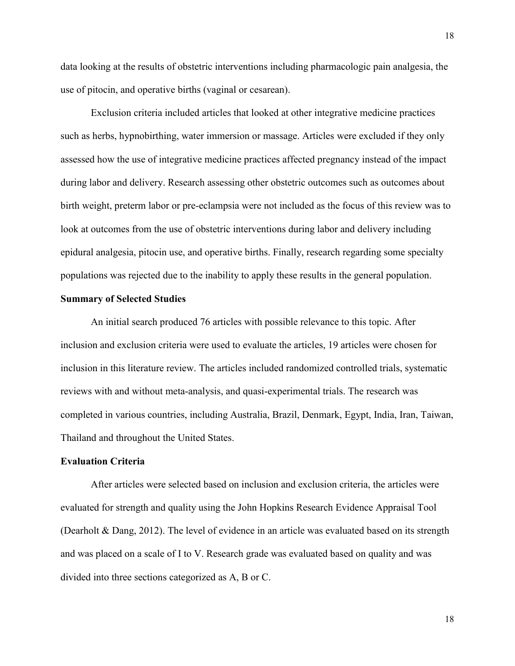data looking at the results of obstetric interventions including pharmacologic pain analgesia, the use of pitocin, and operative births (vaginal or cesarean).

Exclusion criteria included articles that looked at other integrative medicine practices such as herbs, hypnobirthing, water immersion or massage. Articles were excluded if they only assessed how the use of integrative medicine practices affected pregnancy instead of the impact during labor and delivery. Research assessing other obstetric outcomes such as outcomes about birth weight, preterm labor or pre-eclampsia were not included as the focus of this review was to look at outcomes from the use of obstetric interventions during labor and delivery including epidural analgesia, pitocin use, and operative births. Finally, research regarding some specialty populations was rejected due to the inability to apply these results in the general population.

#### **Summary of Selected Studies**

An initial search produced 76 articles with possible relevance to this topic. After inclusion and exclusion criteria were used to evaluate the articles, 19 articles were chosen for inclusion in this literature review. The articles included randomized controlled trials, systematic reviews with and without meta-analysis, and quasi-experimental trials. The research was completed in various countries, including Australia, Brazil, Denmark, Egypt, India, Iran, Taiwan, Thailand and throughout the United States.

### **Evaluation Criteria**

After articles were selected based on inclusion and exclusion criteria, the articles were evaluated for strength and quality using the John Hopkins Research Evidence Appraisal Tool (Dearholt & Dang, 2012). The level of evidence in an article was evaluated based on its strength and was placed on a scale of I to V. Research grade was evaluated based on quality and was divided into three sections categorized as A, B or C.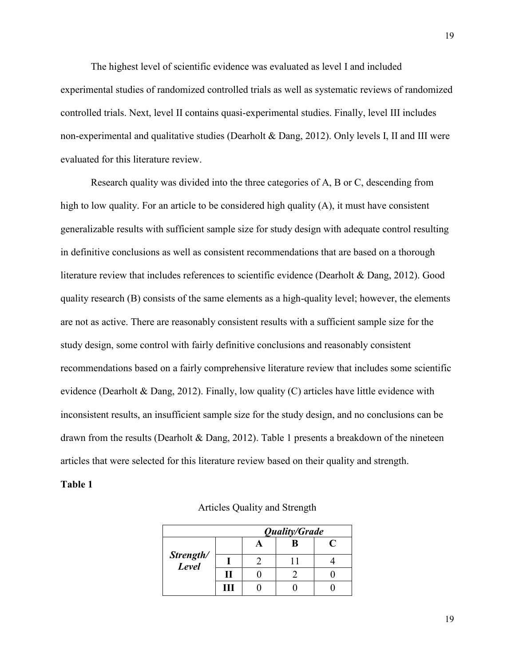The highest level of scientific evidence was evaluated as level I and included experimental studies of randomized controlled trials as well as systematic reviews of randomized controlled trials. Next, level II contains quasi-experimental studies. Finally, level III includes non-experimental and qualitative studies (Dearholt & Dang, 2012). Only levels I, II and III were evaluated for this literature review.

Research quality was divided into the three categories of A, B or C, descending from high to low quality. For an article to be considered high quality (A), it must have consistent generalizable results with sufficient sample size for study design with adequate control resulting in definitive conclusions as well as consistent recommendations that are based on a thorough literature review that includes references to scientific evidence (Dearholt & Dang, 2012). Good quality research (B) consists of the same elements as a high-quality level; however, the elements are not as active. There are reasonably consistent results with a sufficient sample size for the study design, some control with fairly definitive conclusions and reasonably consistent recommendations based on a fairly comprehensive literature review that includes some scientific evidence (Dearholt & Dang, 2012). Finally, low quality (C) articles have little evidence with inconsistent results, an insufficient sample size for the study design, and no conclusions can be drawn from the results (Dearholt & Dang, 2012). Table 1 presents a breakdown of the nineteen articles that were selected for this literature review based on their quality and strength.

#### **Table 1**

|                    | Quality/Grade |  |   |  |
|--------------------|---------------|--|---|--|
|                    |               |  | R |  |
| Strength/<br>Level |               |  |   |  |
|                    |               |  |   |  |
|                    | Ш             |  |   |  |

### Articles Quality and Strength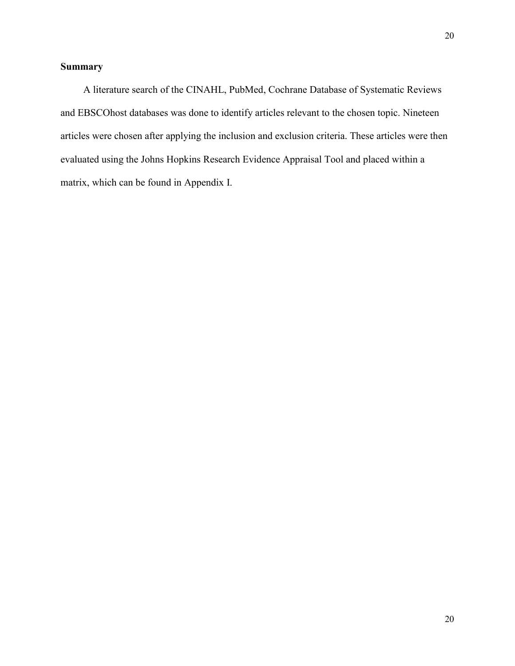# **Summary**

 A literature search of the CINAHL, PubMed, Cochrane Database of Systematic Reviews and EBSCOhost databases was done to identify articles relevant to the chosen topic. Nineteen articles were chosen after applying the inclusion and exclusion criteria. These articles were then evaluated using the Johns Hopkins Research Evidence Appraisal Tool and placed within a matrix, which can be found in Appendix I.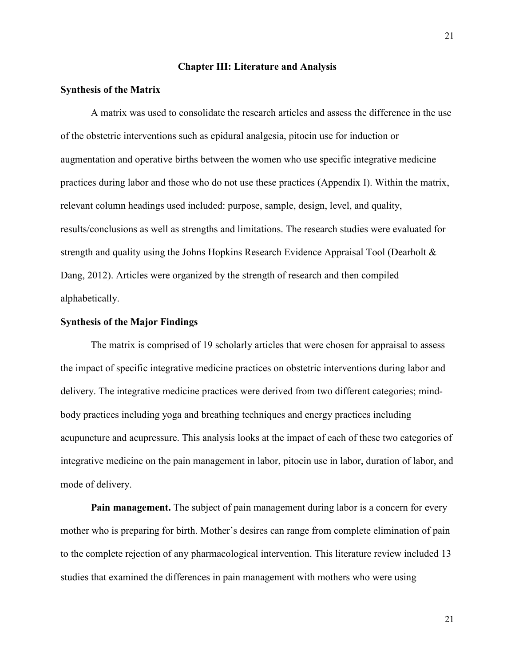#### **Chapter III: Literature and Analysis**

#### **Synthesis of the Matrix**

A matrix was used to consolidate the research articles and assess the difference in the use of the obstetric interventions such as epidural analgesia, pitocin use for induction or augmentation and operative births between the women who use specific integrative medicine practices during labor and those who do not use these practices (Appendix I). Within the matrix, relevant column headings used included: purpose, sample, design, level, and quality, results/conclusions as well as strengths and limitations. The research studies were evaluated for strength and quality using the Johns Hopkins Research Evidence Appraisal Tool (Dearholt & Dang, 2012). Articles were organized by the strength of research and then compiled alphabetically.

#### **Synthesis of the Major Findings**

The matrix is comprised of 19 scholarly articles that were chosen for appraisal to assess the impact of specific integrative medicine practices on obstetric interventions during labor and delivery. The integrative medicine practices were derived from two different categories; mindbody practices including yoga and breathing techniques and energy practices including acupuncture and acupressure. This analysis looks at the impact of each of these two categories of integrative medicine on the pain management in labor, pitocin use in labor, duration of labor, and mode of delivery.

**Pain management.** The subject of pain management during labor is a concern for every mother who is preparing for birth. Mother's desires can range from complete elimination of pain to the complete rejection of any pharmacological intervention. This literature review included 13 studies that examined the differences in pain management with mothers who were using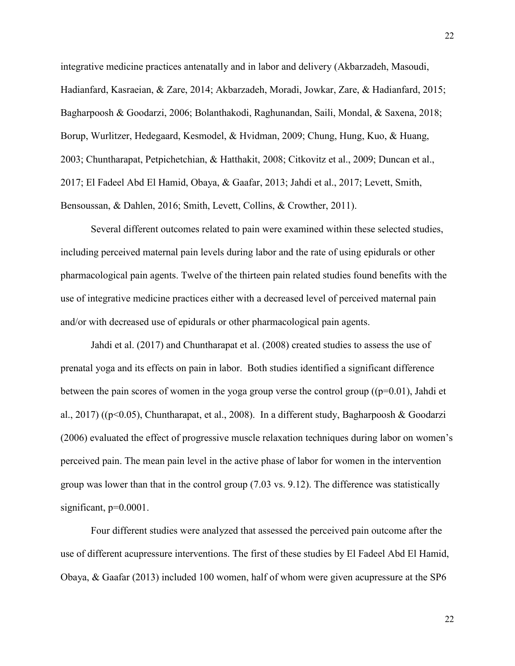integrative medicine practices antenatally and in labor and delivery (Akbarzadeh, Masoudi, Hadianfard, Kasraeian, & Zare, 2014; Akbarzadeh, Moradi, Jowkar, Zare, & Hadianfard, 2015; Bagharpoosh & Goodarzi, 2006; Bolanthakodi, Raghunandan, Saili, Mondal, & Saxena, 2018; Borup, Wurlitzer, Hedegaard, Kesmodel, & Hvidman, 2009; Chung, Hung, Kuo, & Huang, 2003; Chuntharapat, Petpichetchian, & Hatthakit, 2008; Citkovitz et al., 2009; Duncan et al., 2017; El Fadeel Abd El Hamid, Obaya, & Gaafar, 2013; Jahdi et al., 2017; Levett, Smith, Bensoussan, & Dahlen, 2016; Smith, Levett, Collins, & Crowther, 2011).

Several different outcomes related to pain were examined within these selected studies, including perceived maternal pain levels during labor and the rate of using epidurals or other pharmacological pain agents. Twelve of the thirteen pain related studies found benefits with the use of integrative medicine practices either with a decreased level of perceived maternal pain and/or with decreased use of epidurals or other pharmacological pain agents.

Jahdi et al. (2017) and Chuntharapat et al. (2008) created studies to assess the use of prenatal yoga and its effects on pain in labor. Both studies identified a significant difference between the pain scores of women in the yoga group verse the control group  $((p=0.01)$ , Jahdi et al., 2017) ((p<0.05), Chuntharapat, et al., 2008). In a different study, Bagharpoosh & Goodarzi (2006) evaluated the effect of progressive muscle relaxation techniques during labor on women's perceived pain. The mean pain level in the active phase of labor for women in the intervention group was lower than that in the control group (7.03 vs. 9.12). The difference was statistically significant,  $p=0.0001$ .

Four different studies were analyzed that assessed the perceived pain outcome after the use of different acupressure interventions. The first of these studies by El Fadeel Abd El Hamid, Obaya, & Gaafar (2013) included 100 women, half of whom were given acupressure at the SP6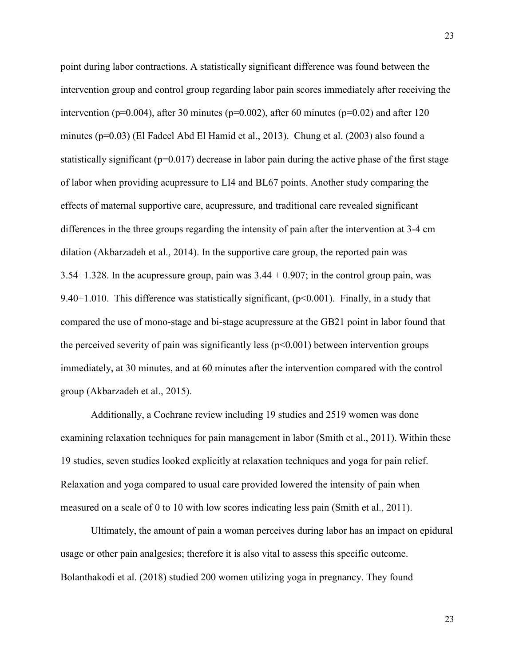point during labor contractions. A statistically significant difference was found between the intervention group and control group regarding labor pain scores immediately after receiving the intervention ( $p=0.004$ ), after 30 minutes ( $p=0.002$ ), after 60 minutes ( $p=0.02$ ) and after 120 minutes (p=0.03) (El Fadeel Abd El Hamid et al., 2013). Chung et al. (2003) also found a statistically significant ( $p=0.017$ ) decrease in labor pain during the active phase of the first stage of labor when providing acupressure to LI4 and BL67 points. Another study comparing the effects of maternal supportive care, acupressure, and traditional care revealed significant differences in the three groups regarding the intensity of pain after the intervention at 3-4 cm dilation (Akbarzadeh et al., 2014). In the supportive care group, the reported pain was  $3.54+1.328$ . In the acupressure group, pain was  $3.44 + 0.907$ ; in the control group pain, was 9.40+1.010. This difference was statistically significant,  $(p<0.001)$ . Finally, in a study that compared the use of mono-stage and bi-stage acupressure at the GB21 point in labor found that the perceived severity of pain was significantly less  $(p<0.001)$  between intervention groups immediately, at 30 minutes, and at 60 minutes after the intervention compared with the control group (Akbarzadeh et al., 2015).

Additionally, a Cochrane review including 19 studies and 2519 women was done examining relaxation techniques for pain management in labor (Smith et al., 2011). Within these 19 studies, seven studies looked explicitly at relaxation techniques and yoga for pain relief. Relaxation and yoga compared to usual care provided lowered the intensity of pain when measured on a scale of 0 to 10 with low scores indicating less pain (Smith et al., 2011).

Ultimately, the amount of pain a woman perceives during labor has an impact on epidural usage or other pain analgesics; therefore it is also vital to assess this specific outcome. Bolanthakodi et al. (2018) studied 200 women utilizing yoga in pregnancy. They found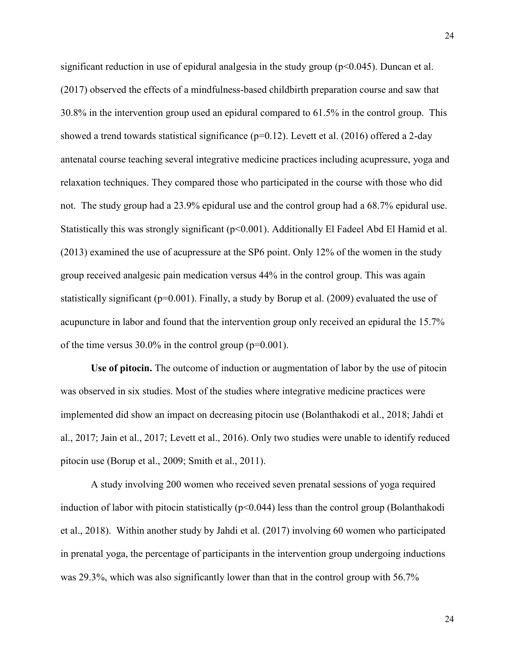significant reduction in use of epidural analgesia in the study group  $(p<0.045)$ . Duncan et al. (2017) observed the effects of a mindfulness-based childbirth preparation course and saw that 30.8% in the intervention group used an epidural compared to 61.5% in the control group. This showed a trend towards statistical significance  $(p=0.12)$ . Levett et al. (2016) offered a 2-day antenatal course teaching several integrative medicine practices including acupressure, yoga and relaxation techniques. They compared those who participated in the course with those who did not. The study group had a 23.9% epidural use and the control group had a 68.7% epidural use. Statistically this was strongly significant (p<0.001). Additionally El Fadeel Abd El Hamid et al. (2013) examined the use of acupressure at the SP6 point. Only 12% of the women in the study group received analgesic pain medication versus 44% in the control group. This was again statistically significant ( $p=0.001$ ). Finally, a study by Borup et al. (2009) evaluated the use of acupuncture in labor and found that the intervention group only received an epidural the 15.7% of the time versus  $30.0\%$  in the control group ( $p=0.001$ ).

**Use of pitocin.** The outcome of induction or augmentation of labor by the use of pitocin was observed in six studies. Most of the studies where integrative medicine practices were implemented did show an impact on decreasing pitocin use (Bolanthakodi et al., 2018; Jahdi et al., 2017; Jain et al., 2017; Levett et al., 2016). Only two studies were unable to identify reduced pitocin use (Borup et al., 2009; Smith et al., 2011).

A study involving 200 women who received seven prenatal sessions of yoga required induction of labor with pitocin statistically  $(p<0.044)$  less than the control group (Bolanthakodi et al., 2018). Within another study by Jahdi et al. (2017) involving 60 women who participated in prenatal yoga, the percentage of participants in the intervention group undergoing inductions was 29.3%, which was also significantly lower than that in the control group with 56.7%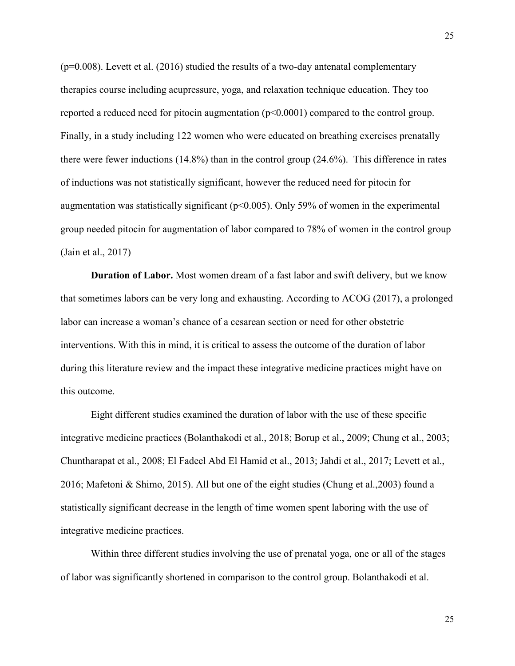$(p=0.008)$ . Levett et al. (2016) studied the results of a two-day antenatal complementary therapies course including acupressure, yoga, and relaxation technique education. They too reported a reduced need for pitocin augmentation (p<0.0001) compared to the control group. Finally, in a study including 122 women who were educated on breathing exercises prenatally there were fewer inductions (14.8%) than in the control group (24.6%). This difference in rates of inductions was not statistically significant, however the reduced need for pitocin for augmentation was statistically significant (p<0.005). Only 59% of women in the experimental group needed pitocin for augmentation of labor compared to 78% of women in the control group (Jain et al., 2017)

**Duration of Labor.** Most women dream of a fast labor and swift delivery, but we know that sometimes labors can be very long and exhausting. According to ACOG (2017), a prolonged labor can increase a woman's chance of a cesarean section or need for other obstetric interventions. With this in mind, it is critical to assess the outcome of the duration of labor during this literature review and the impact these integrative medicine practices might have on this outcome.

Eight different studies examined the duration of labor with the use of these specific integrative medicine practices (Bolanthakodi et al., 2018; Borup et al., 2009; Chung et al., 2003; Chuntharapat et al., 2008; El Fadeel Abd El Hamid et al., 2013; Jahdi et al., 2017; Levett et al., 2016; Mafetoni & Shimo, 2015). All but one of the eight studies (Chung et al.,2003) found a statistically significant decrease in the length of time women spent laboring with the use of integrative medicine practices.

Within three different studies involving the use of prenatal yoga, one or all of the stages of labor was significantly shortened in comparison to the control group. Bolanthakodi et al.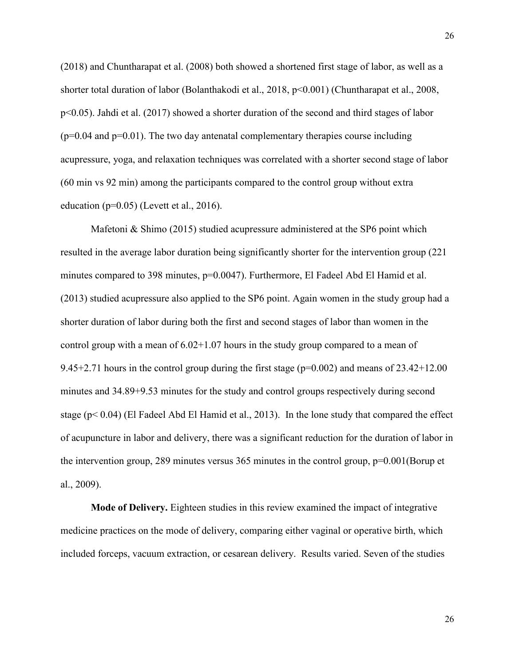(2018) and Chuntharapat et al. (2008) both showed a shortened first stage of labor, as well as a shorter total duration of labor (Bolanthakodi et al., 2018, p<0.001) (Chuntharapat et al., 2008, p<0.05). Jahdi et al. (2017) showed a shorter duration of the second and third stages of labor  $(p=0.04$  and  $p=0.01)$ . The two day antenatal complementary therapies course including acupressure, yoga, and relaxation techniques was correlated with a shorter second stage of labor (60 min vs 92 min) among the participants compared to the control group without extra education ( $p=0.05$ ) (Levett et al., 2016).

Mafetoni & Shimo (2015) studied acupressure administered at the SP6 point which resulted in the average labor duration being significantly shorter for the intervention group (221 minutes compared to 398 minutes, p=0.0047). Furthermore, El Fadeel Abd El Hamid et al. (2013) studied acupressure also applied to the SP6 point. Again women in the study group had a shorter duration of labor during both the first and second stages of labor than women in the control group with a mean of 6.02+1.07 hours in the study group compared to a mean of 9.45+2.71 hours in the control group during the first stage (p=0.002) and means of 23.42+12.00 minutes and 34.89+9.53 minutes for the study and control groups respectively during second stage  $(p< 0.04)$  (El Fadeel Abd El Hamid et al., 2013). In the lone study that compared the effect of acupuncture in labor and delivery, there was a significant reduction for the duration of labor in the intervention group, 289 minutes versus 365 minutes in the control group, p=0.001(Borup et al., 2009).

**Mode of Delivery.** Eighteen studies in this review examined the impact of integrative medicine practices on the mode of delivery, comparing either vaginal or operative birth, which included forceps, vacuum extraction, or cesarean delivery. Results varied. Seven of the studies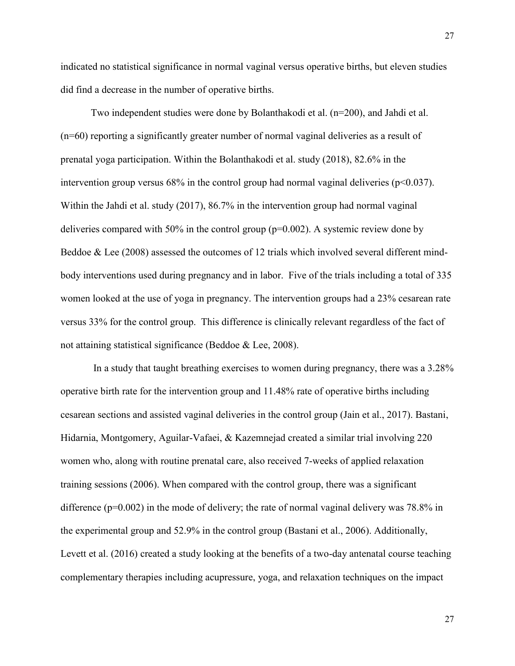indicated no statistical significance in normal vaginal versus operative births, but eleven studies did find a decrease in the number of operative births.

Two independent studies were done by Bolanthakodi et al. (n=200), and Jahdi et al. (n=60) reporting a significantly greater number of normal vaginal deliveries as a result of prenatal yoga participation. Within the Bolanthakodi et al. study (2018), 82.6% in the intervention group versus  $68\%$  in the control group had normal vaginal deliveries ( $p<0.037$ ). Within the Jahdi et al. study (2017), 86.7% in the intervention group had normal vaginal deliveries compared with 50% in the control group ( $p=0.002$ ). A systemic review done by Beddoe & Lee (2008) assessed the outcomes of 12 trials which involved several different mindbody interventions used during pregnancy and in labor. Five of the trials including a total of 335 women looked at the use of yoga in pregnancy. The intervention groups had a 23% cesarean rate versus 33% for the control group. This difference is clinically relevant regardless of the fact of not attaining statistical significance (Beddoe & Lee, 2008).

In a study that taught breathing exercises to women during pregnancy, there was a 3.28% operative birth rate for the intervention group and 11.48% rate of operative births including cesarean sections and assisted vaginal deliveries in the control group (Jain et al., 2017). Bastani, Hidarnia, Montgomery, Aguilar-Vafaei, & Kazemnejad created a similar trial involving 220 women who, along with routine prenatal care, also received 7-weeks of applied relaxation training sessions (2006). When compared with the control group, there was a significant difference ( $p=0.002$ ) in the mode of delivery; the rate of normal vaginal delivery was 78.8% in the experimental group and 52.9% in the control group (Bastani et al., 2006). Additionally, Levett et al. (2016) created a study looking at the benefits of a two-day antenatal course teaching complementary therapies including acupressure, yoga, and relaxation techniques on the impact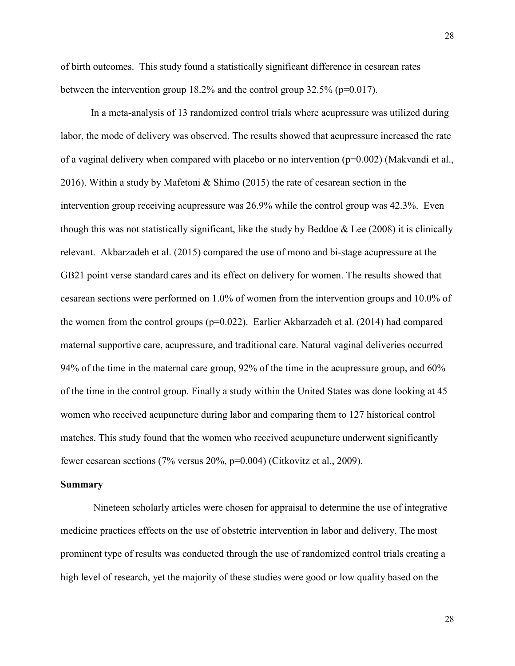of birth outcomes. This study found a statistically significant difference in cesarean rates between the intervention group 18.2% and the control group 32.5% (p=0.017).

In a meta-analysis of 13 randomized control trials where acupressure was utilized during labor, the mode of delivery was observed. The results showed that acupressure increased the rate of a vaginal delivery when compared with placebo or no intervention  $(p=0.002)$  (Makvandi et al., 2016). Within a study by Mafetoni & Shimo (2015) the rate of cesarean section in the intervention group receiving acupressure was 26.9% while the control group was 42.3%. Even though this was not statistically significant, like the study by Beddoe  $\&$  Lee (2008) it is clinically relevant. Akbarzadeh et al. (2015) compared the use of mono and bi-stage acupressure at the GB21 point verse standard cares and its effect on delivery for women. The results showed that cesarean sections were performed on 1.0% of women from the intervention groups and 10.0% of the women from the control groups ( $p=0.022$ ). Earlier Akbarzadeh et al. (2014) had compared maternal supportive care, acupressure, and traditional care. Natural vaginal deliveries occurred 94% of the time in the maternal care group, 92% of the time in the acupressure group, and 60% of the time in the control group. Finally a study within the United States was done looking at 45 women who received acupuncture during labor and comparing them to 127 historical control matches. This study found that the women who received acupuncture underwent significantly fewer cesarean sections (7% versus 20%, p=0.004) (Citkovitz et al., 2009).

#### **Summary**

Nineteen scholarly articles were chosen for appraisal to determine the use of integrative medicine practices effects on the use of obstetric intervention in labor and delivery. The most prominent type of results was conducted through the use of randomized control trials creating a high level of research, yet the majority of these studies were good or low quality based on the

28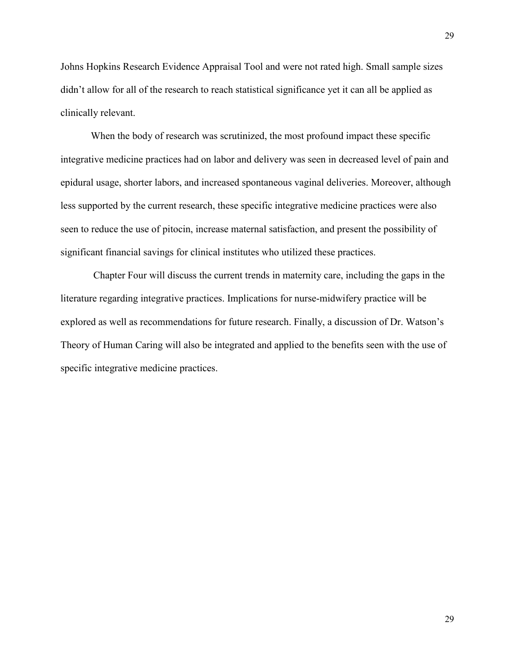Johns Hopkins Research Evidence Appraisal Tool and were not rated high. Small sample sizes didn't allow for all of the research to reach statistical significance yet it can all be applied as clinically relevant.

When the body of research was scrutinized, the most profound impact these specific integrative medicine practices had on labor and delivery was seen in decreased level of pain and epidural usage, shorter labors, and increased spontaneous vaginal deliveries. Moreover, although less supported by the current research, these specific integrative medicine practices were also seen to reduce the use of pitocin, increase maternal satisfaction, and present the possibility of significant financial savings for clinical institutes who utilized these practices.

Chapter Four will discuss the current trends in maternity care, including the gaps in the literature regarding integrative practices. Implications for nurse-midwifery practice will be explored as well as recommendations for future research. Finally, a discussion of Dr. Watson's Theory of Human Caring will also be integrated and applied to the benefits seen with the use of specific integrative medicine practices.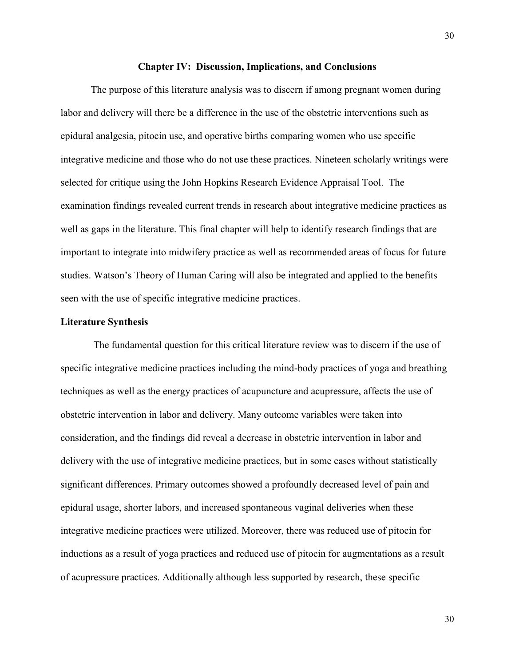#### **Chapter IV: Discussion, Implications, and Conclusions**

The purpose of this literature analysis was to discern if among pregnant women during labor and delivery will there be a difference in the use of the obstetric interventions such as epidural analgesia, pitocin use, and operative births comparing women who use specific integrative medicine and those who do not use these practices. Nineteen scholarly writings were selected for critique using the John Hopkins Research Evidence Appraisal Tool. The examination findings revealed current trends in research about integrative medicine practices as well as gaps in the literature. This final chapter will help to identify research findings that are important to integrate into midwifery practice as well as recommended areas of focus for future studies. Watson's Theory of Human Caring will also be integrated and applied to the benefits seen with the use of specific integrative medicine practices.

### **Literature Synthesis**

The fundamental question for this critical literature review was to discern if the use of specific integrative medicine practices including the mind-body practices of yoga and breathing techniques as well as the energy practices of acupuncture and acupressure, affects the use of obstetric intervention in labor and delivery. Many outcome variables were taken into consideration, and the findings did reveal a decrease in obstetric intervention in labor and delivery with the use of integrative medicine practices, but in some cases without statistically significant differences. Primary outcomes showed a profoundly decreased level of pain and epidural usage, shorter labors, and increased spontaneous vaginal deliveries when these integrative medicine practices were utilized. Moreover, there was reduced use of pitocin for inductions as a result of yoga practices and reduced use of pitocin for augmentations as a result of acupressure practices. Additionally although less supported by research, these specific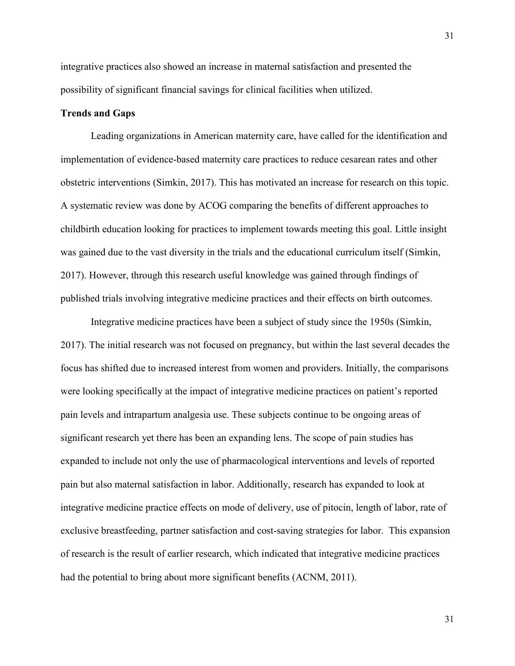integrative practices also showed an increase in maternal satisfaction and presented the possibility of significant financial savings for clinical facilities when utilized.

### **Trends and Gaps**

Leading organizations in American maternity care, have called for the identification and implementation of evidence-based maternity care practices to reduce cesarean rates and other obstetric interventions (Simkin, 2017). This has motivated an increase for research on this topic. A systematic review was done by ACOG comparing the benefits of different approaches to childbirth education looking for practices to implement towards meeting this goal. Little insight was gained due to the vast diversity in the trials and the educational curriculum itself (Simkin, 2017). However, through this research useful knowledge was gained through findings of published trials involving integrative medicine practices and their effects on birth outcomes.

Integrative medicine practices have been a subject of study since the 1950s (Simkin, 2017). The initial research was not focused on pregnancy, but within the last several decades the focus has shifted due to increased interest from women and providers. Initially, the comparisons were looking specifically at the impact of integrative medicine practices on patient's reported pain levels and intrapartum analgesia use. These subjects continue to be ongoing areas of significant research yet there has been an expanding lens. The scope of pain studies has expanded to include not only the use of pharmacological interventions and levels of reported pain but also maternal satisfaction in labor. Additionally, research has expanded to look at integrative medicine practice effects on mode of delivery, use of pitocin, length of labor, rate of exclusive breastfeeding, partner satisfaction and cost-saving strategies for labor. This expansion of research is the result of earlier research, which indicated that integrative medicine practices had the potential to bring about more significant benefits (ACNM, 2011).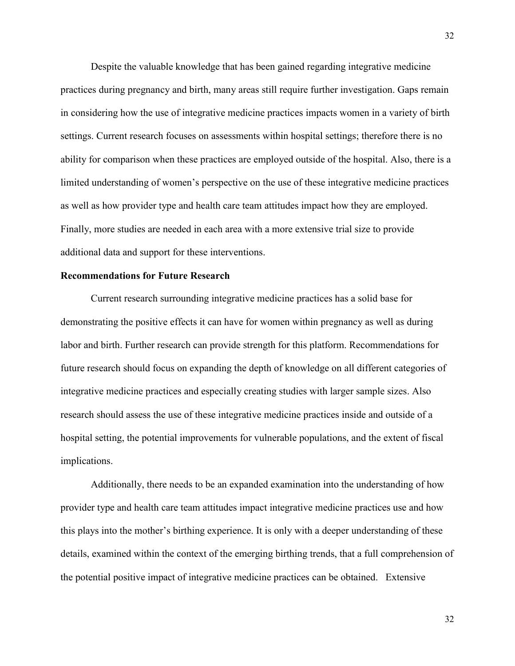Despite the valuable knowledge that has been gained regarding integrative medicine practices during pregnancy and birth, many areas still require further investigation. Gaps remain in considering how the use of integrative medicine practices impacts women in a variety of birth settings. Current research focuses on assessments within hospital settings; therefore there is no ability for comparison when these practices are employed outside of the hospital. Also, there is a limited understanding of women's perspective on the use of these integrative medicine practices as well as how provider type and health care team attitudes impact how they are employed. Finally, more studies are needed in each area with a more extensive trial size to provide additional data and support for these interventions.

### **Recommendations for Future Research**

Current research surrounding integrative medicine practices has a solid base for demonstrating the positive effects it can have for women within pregnancy as well as during labor and birth. Further research can provide strength for this platform. Recommendations for future research should focus on expanding the depth of knowledge on all different categories of integrative medicine practices and especially creating studies with larger sample sizes. Also research should assess the use of these integrative medicine practices inside and outside of a hospital setting, the potential improvements for vulnerable populations, and the extent of fiscal implications.

Additionally, there needs to be an expanded examination into the understanding of how provider type and health care team attitudes impact integrative medicine practices use and how this plays into the mother's birthing experience. It is only with a deeper understanding of these details, examined within the context of the emerging birthing trends, that a full comprehension of the potential positive impact of integrative medicine practices can be obtained. Extensive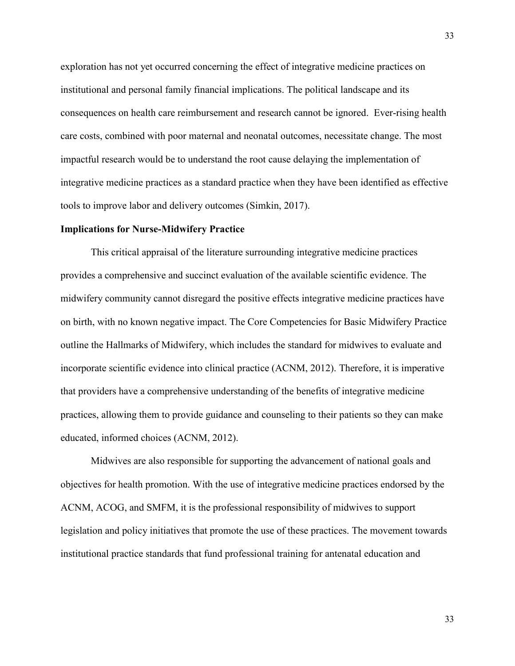exploration has not yet occurred concerning the effect of integrative medicine practices on institutional and personal family financial implications. The political landscape and its consequences on health care reimbursement and research cannot be ignored. Ever-rising health care costs, combined with poor maternal and neonatal outcomes, necessitate change. The most impactful research would be to understand the root cause delaying the implementation of integrative medicine practices as a standard practice when they have been identified as effective tools to improve labor and delivery outcomes (Simkin, 2017).

#### **Implications for Nurse-Midwifery Practice**

This critical appraisal of the literature surrounding integrative medicine practices provides a comprehensive and succinct evaluation of the available scientific evidence. The midwifery community cannot disregard the positive effects integrative medicine practices have on birth, with no known negative impact. The Core Competencies for Basic Midwifery Practice outline the Hallmarks of Midwifery, which includes the standard for midwives to evaluate and incorporate scientific evidence into clinical practice (ACNM, 2012). Therefore, it is imperative that providers have a comprehensive understanding of the benefits of integrative medicine practices, allowing them to provide guidance and counseling to their patients so they can make educated, informed choices (ACNM, 2012).

Midwives are also responsible for supporting the advancement of national goals and objectives for health promotion. With the use of integrative medicine practices endorsed by the ACNM, ACOG, and SMFM, it is the professional responsibility of midwives to support legislation and policy initiatives that promote the use of these practices. The movement towards institutional practice standards that fund professional training for antenatal education and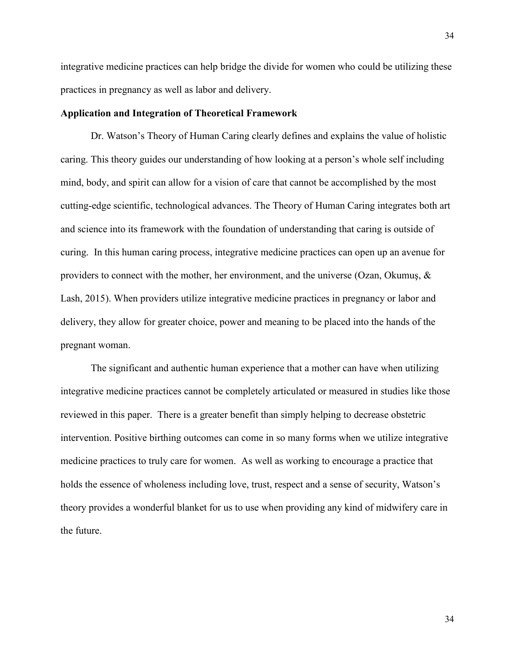integrative medicine practices can help bridge the divide for women who could be utilizing these practices in pregnancy as well as labor and delivery.

#### **Application and Integration of Theoretical Framework**

Dr. Watson's Theory of Human Caring clearly defines and explains the value of holistic caring. This theory guides our understanding of how looking at a person's whole self including mind, body, and spirit can allow for a vision of care that cannot be accomplished by the most cutting-edge scientific, technological advances. The Theory of Human Caring integrates both art and science into its framework with the foundation of understanding that caring is outside of curing. In this human caring process, integrative medicine practices can open up an avenue for providers to connect with the mother, her environment, and the universe (Ozan, Okumus,  $\&$ Lash, 2015). When providers utilize integrative medicine practices in pregnancy or labor and delivery, they allow for greater choice, power and meaning to be placed into the hands of the pregnant woman.

The significant and authentic human experience that a mother can have when utilizing integrative medicine practices cannot be completely articulated or measured in studies like those reviewed in this paper. There is a greater benefit than simply helping to decrease obstetric intervention. Positive birthing outcomes can come in so many forms when we utilize integrative medicine practices to truly care for women. As well as working to encourage a practice that holds the essence of wholeness including love, trust, respect and a sense of security, Watson's theory provides a wonderful blanket for us to use when providing any kind of midwifery care in the future.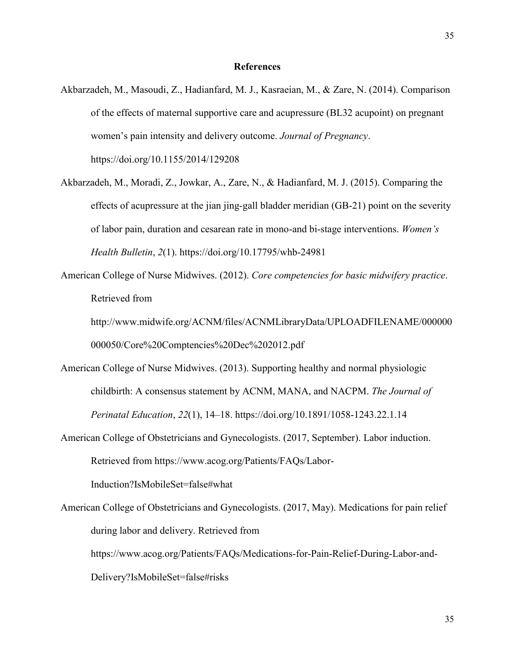Akbarzadeh, M., Masoudi, Z., Hadianfard, M. J., Kasraeian, M., & Zare, N. (2014). Comparison of the effects of maternal supportive care and acupressure (BL32 acupoint) on pregnant women's pain intensity and delivery outcome. *Journal of Pregnancy*. https://doi.org/10.1155/2014/129208

- Akbarzadeh, M., Moradi, Z., Jowkar, A., Zare, N., & Hadianfard, M. J. (2015). Comparing the effects of acupressure at the jian jing-gall bladder meridian (GB-21) point on the severity of labor pain, duration and cesarean rate in mono-and bi-stage interventions. *Women's Health Bulletin*, *2*(1). https://doi.org/10.17795/whb-24981
- American College of Nurse Midwives. (2012). *Core competencies for basic midwifery practice*. Retrieved from

http://www.midwife.org/ACNM/files/ACNMLibraryData/UPLOADFILENAME/000000 000050/Core%20Comptencies%20Dec%202012.pdf

- American College of Nurse Midwives. (2013). Supporting healthy and normal physiologic childbirth: A consensus statement by ACNM, MANA, and NACPM. *The Journal of Perinatal Education*, *22*(1), 14–18. https://doi.org/10.1891/1058-1243.22.1.14
- American College of Obstetricians and Gynecologists. (2017, September). Labor induction. Retrieved from https://www.acog.org/Patients/FAQs/Labor-

Induction?IsMobileSet=false#what

American College of Obstetricians and Gynecologists. (2017, May). Medications for pain relief during labor and delivery. Retrieved from https://www.acog.org/Patients/FAQs/Medications-for-Pain-Relief-During-Labor-and-Delivery?IsMobileSet=false#risks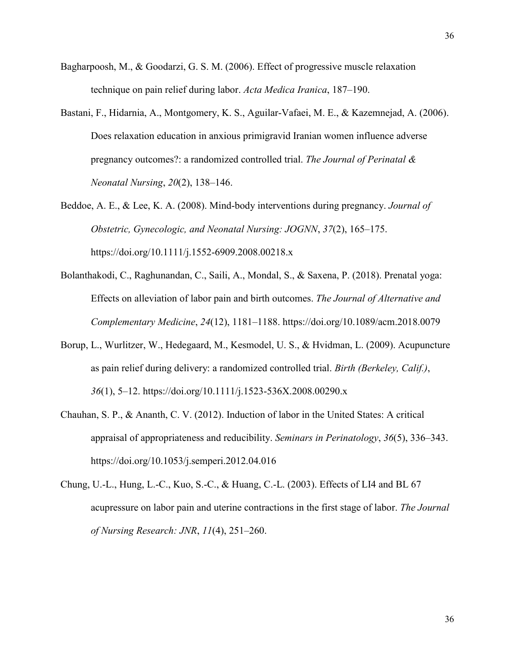- Bagharpoosh, M., & Goodarzi, G. S. M. (2006). Effect of progressive muscle relaxation technique on pain relief during labor. *Acta Medica Iranica*, 187–190.
- Bastani, F., Hidarnia, A., Montgomery, K. S., Aguilar-Vafaei, M. E., & Kazemnejad, A. (2006). Does relaxation education in anxious primigravid Iranian women influence adverse pregnancy outcomes?: a randomized controlled trial. *The Journal of Perinatal & Neonatal Nursing*, *20*(2), 138–146.
- Beddoe, A. E., & Lee, K. A. (2008). Mind-body interventions during pregnancy. *Journal of Obstetric, Gynecologic, and Neonatal Nursing: JOGNN*, *37*(2), 165–175. https://doi.org/10.1111/j.1552-6909.2008.00218.x
- Bolanthakodi, C., Raghunandan, C., Saili, A., Mondal, S., & Saxena, P. (2018). Prenatal yoga: Effects on alleviation of labor pain and birth outcomes. *The Journal of Alternative and Complementary Medicine*, *24*(12), 1181–1188. https://doi.org/10.1089/acm.2018.0079
- Borup, L., Wurlitzer, W., Hedegaard, M., Kesmodel, U. S., & Hvidman, L. (2009). Acupuncture as pain relief during delivery: a randomized controlled trial. *Birth (Berkeley, Calif.)*, *36*(1), 5–12. https://doi.org/10.1111/j.1523-536X.2008.00290.x
- Chauhan, S. P., & Ananth, C. V. (2012). Induction of labor in the United States: A critical appraisal of appropriateness and reducibility. *Seminars in Perinatology*, *36*(5), 336–343. https://doi.org/10.1053/j.semperi.2012.04.016
- Chung, U.-L., Hung, L.-C., Kuo, S.-C., & Huang, C.-L. (2003). Effects of LI4 and BL 67 acupressure on labor pain and uterine contractions in the first stage of labor. *The Journal of Nursing Research: JNR*, *11*(4), 251–260.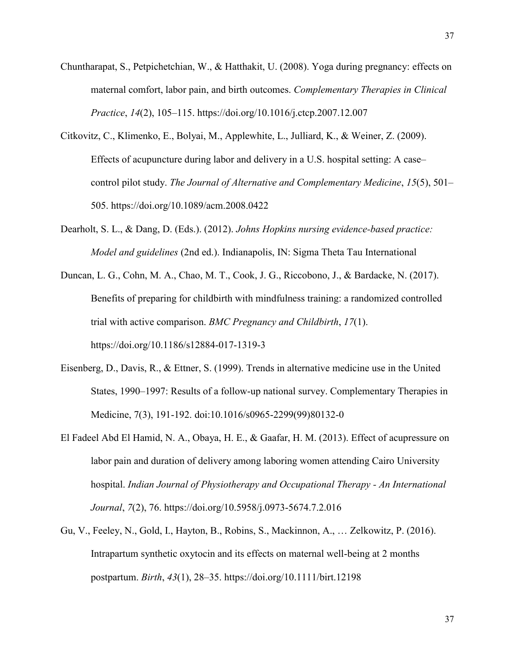- Chuntharapat, S., Petpichetchian, W., & Hatthakit, U. (2008). Yoga during pregnancy: effects on maternal comfort, labor pain, and birth outcomes. *Complementary Therapies in Clinical Practice*, *14*(2), 105–115. https://doi.org/10.1016/j.ctcp.2007.12.007
- Citkovitz, C., Klimenko, E., Bolyai, M., Applewhite, L., Julliard, K., & Weiner, Z. (2009). Effects of acupuncture during labor and delivery in a U.S. hospital setting: A case– control pilot study. *The Journal of Alternative and Complementary Medicine*, *15*(5), 501– 505. https://doi.org/10.1089/acm.2008.0422
- Dearholt, S. L., & Dang, D. (Eds.). (2012). *Johns Hopkins nursing evidence-based practice: Model and guidelines* (2nd ed.). Indianapolis, IN: Sigma Theta Tau International
- Duncan, L. G., Cohn, M. A., Chao, M. T., Cook, J. G., Riccobono, J., & Bardacke, N. (2017). Benefits of preparing for childbirth with mindfulness training: a randomized controlled trial with active comparison. *BMC Pregnancy and Childbirth*, *17*(1). https://doi.org/10.1186/s12884-017-1319-3
- Eisenberg, D., Davis, R., & Ettner, S. (1999). Trends in alternative medicine use in the United States, 1990–1997: Results of a follow-up national survey. Complementary Therapies in Medicine, 7(3), 191-192. doi:10.1016/s0965-2299(99)80132-0
- El Fadeel Abd El Hamid, N. A., Obaya, H. E., & Gaafar, H. M. (2013). Effect of acupressure on labor pain and duration of delivery among laboring women attending Cairo University hospital. *Indian Journal of Physiotherapy and Occupational Therapy - An International Journal*, *7*(2), 76. https://doi.org/10.5958/j.0973-5674.7.2.016
- Gu, V., Feeley, N., Gold, I., Hayton, B., Robins, S., Mackinnon, A., … Zelkowitz, P. (2016). Intrapartum synthetic oxytocin and its effects on maternal well-being at 2 months postpartum. *Birth*, *43*(1), 28–35. https://doi.org/10.1111/birt.12198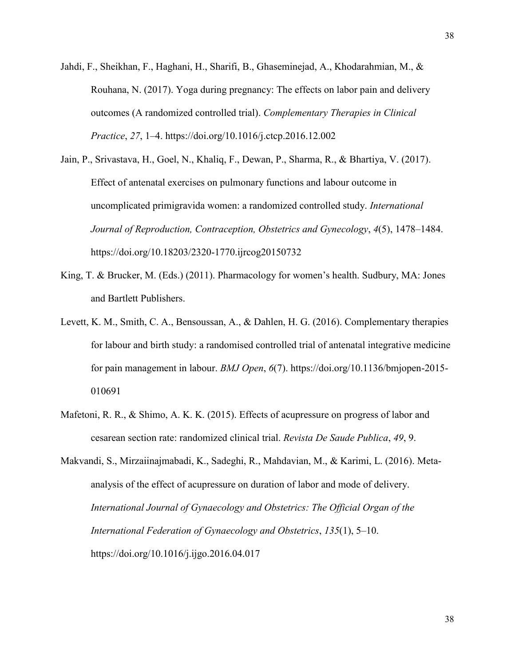- Jahdi, F., Sheikhan, F., Haghani, H., Sharifi, B., Ghaseminejad, A., Khodarahmian, M., & Rouhana, N. (2017). Yoga during pregnancy: The effects on labor pain and delivery outcomes (A randomized controlled trial). *Complementary Therapies in Clinical Practice*, *27*, 1–4. https://doi.org/10.1016/j.ctcp.2016.12.002
- Jain, P., Srivastava, H., Goel, N., Khaliq, F., Dewan, P., Sharma, R., & Bhartiya, V. (2017). Effect of antenatal exercises on pulmonary functions and labour outcome in uncomplicated primigravida women: a randomized controlled study. *International Journal of Reproduction, Contraception, Obstetrics and Gynecology*, *4*(5), 1478–1484. https://doi.org/10.18203/2320-1770.ijrcog20150732
- King, T. & Brucker, M. (Eds.) (2011). Pharmacology for women's health. Sudbury, MA: Jones and Bartlett Publishers.
- Levett, K. M., Smith, C. A., Bensoussan, A., & Dahlen, H. G. (2016). Complementary therapies for labour and birth study: a randomised controlled trial of antenatal integrative medicine for pain management in labour. *BMJ Open*, *6*(7). https://doi.org/10.1136/bmjopen-2015- 010691
- Mafetoni, R. R., & Shimo, A. K. K. (2015). Effects of acupressure on progress of labor and cesarean section rate: randomized clinical trial. *Revista De Saude Publica*, *49*, 9.
- Makvandi, S., Mirzaiinajmabadi, K., Sadeghi, R., Mahdavian, M., & Karimi, L. (2016). Metaanalysis of the effect of acupressure on duration of labor and mode of delivery. *International Journal of Gynaecology and Obstetrics: The Official Organ of the International Federation of Gynaecology and Obstetrics*, *135*(1), 5–10. https://doi.org/10.1016/j.ijgo.2016.04.017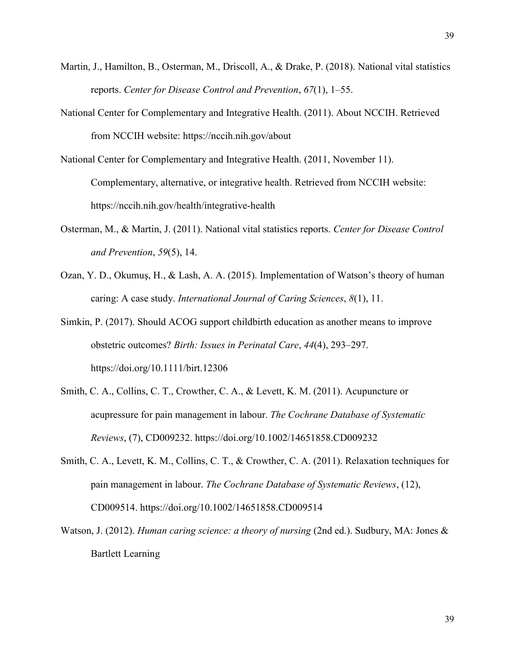- Martin, J., Hamilton, B., Osterman, M., Driscoll, A., & Drake, P. (2018). National vital statistics reports. *Center for Disease Control and Prevention*, *67*(1), 1–55.
- National Center for Complementary and Integrative Health. (2011). About NCCIH. Retrieved from NCCIH website: https://nccih.nih.gov/about
- National Center for Complementary and Integrative Health. (2011, November 11). Complementary, alternative, or integrative health. Retrieved from NCCIH website: https://nccih.nih.gov/health/integrative-health
- Osterman, M., & Martin, J. (2011). National vital statistics reports. *Center for Disease Control and Prevention*, *59*(5), 14.
- Ozan, Y. D., Okumuş, H., & Lash, A. A. (2015). Implementation of Watson's theory of human caring: A case study. *International Journal of Caring Sciences*, *8*(1), 11.
- Simkin, P. (2017). Should ACOG support childbirth education as another means to improve obstetric outcomes? *Birth: Issues in Perinatal Care*, *44*(4), 293–297. https://doi.org/10.1111/birt.12306
- Smith, C. A., Collins, C. T., Crowther, C. A., & Levett, K. M. (2011). Acupuncture or acupressure for pain management in labour. *The Cochrane Database of Systematic Reviews*, (7), CD009232. https://doi.org/10.1002/14651858.CD009232
- Smith, C. A., Levett, K. M., Collins, C. T., & Crowther, C. A. (2011). Relaxation techniques for pain management in labour. *The Cochrane Database of Systematic Reviews*, (12), CD009514. https://doi.org/10.1002/14651858.CD009514
- Watson, J. (2012). *Human caring science: a theory of nursing* (2nd ed.). Sudbury, MA: Jones & Bartlett Learning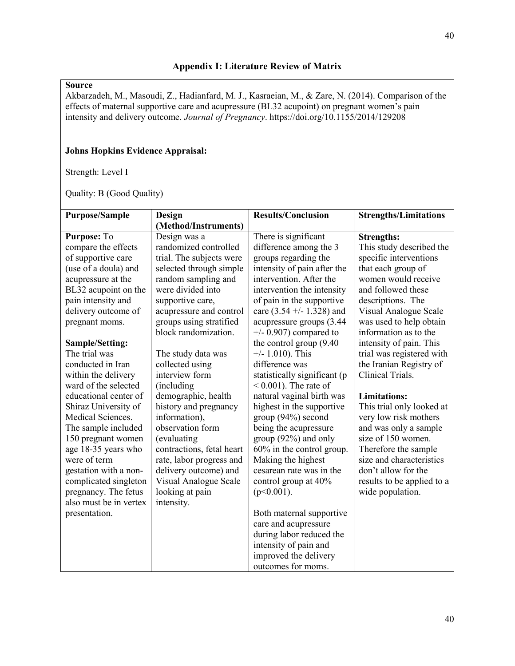Akbarzadeh, M., Masoudi, Z., Hadianfard, M. J., Kasraeian, M., & Zare, N. (2014). Comparison of the effects of maternal supportive care and acupressure (BL32 acupoint) on pregnant women's pain intensity and delivery outcome. *Journal of Pregnancy*. https://doi.org/10.1155/2014/129208

### **Johns Hopkins Evidence Appraisal:**

Strength: Level I

| <b>Purpose/Sample</b>  | Design                    | <b>Results/Conclusion</b>    | <b>Strengths/Limitations</b> |
|------------------------|---------------------------|------------------------------|------------------------------|
|                        | (Method/Instruments)      |                              |                              |
| Purpose: To            | Design was a              | There is significant         | <b>Strengths:</b>            |
| compare the effects    | randomized controlled     | difference among the 3       | This study described the     |
| of supportive care     | trial. The subjects were  | groups regarding the         | specific interventions       |
| (use of a doula) and   | selected through simple   | intensity of pain after the  | that each group of           |
| acupressure at the     | random sampling and       | intervention. After the      | women would receive          |
| BL32 acupoint on the   | were divided into         | intervention the intensity   | and followed these           |
| pain intensity and     | supportive care,          | of pain in the supportive    | descriptions. The            |
| delivery outcome of    | acupressure and control   | care $(3.54 + -1.328)$ and   | Visual Analogue Scale        |
| pregnant moms.         | groups using stratified   | acupressure groups (3.44)    | was used to help obtain      |
|                        | block randomization.      | $+/- 0.907$ ) compared to    | information as to the        |
| Sample/Setting:        |                           | the control group (9.40)     | intensity of pain. This      |
| The trial was          | The study data was        | $+/- 1.010$ ). This          | trial was registered with    |
| conducted in Iran      | collected using           | difference was               | the Iranian Registry of      |
| within the delivery    | interview form            | statistically significant (p | Clinical Trials.             |
| ward of the selected   | (including                | $< 0.001$ ). The rate of     |                              |
| educational center of  | demographic, health       | natural vaginal birth was    | <b>Limitations:</b>          |
| Shiraz University of   | history and pregnancy     | highest in the supportive    | This trial only looked at    |
| Medical Sciences.      | information),             | group (94%) second           | very low risk mothers        |
| The sample included    | observation form          | being the acupressure        | and was only a sample        |
| 150 pregnant women     | (evaluating)              | group $(92%)$ and only       | size of 150 women.           |
| age 18-35 years who    | contractions, fetal heart | $60\%$ in the control group. | Therefore the sample         |
| were of term           | rate, labor progress and  | Making the highest           | size and characteristics     |
| gestation with a non-  | delivery outcome) and     | cesarean rate was in the     | don't allow for the          |
| complicated singleton  | Visual Analogue Scale     | control group at 40%         | results to be applied to a   |
| pregnancy. The fetus   | looking at pain           | $(p<0.001)$ .                | wide population.             |
| also must be in vertex | intensity.                |                              |                              |
| presentation.          |                           | Both maternal supportive     |                              |
|                        |                           | care and acupressure         |                              |
|                        |                           | during labor reduced the     |                              |
|                        |                           | intensity of pain and        |                              |
|                        |                           | improved the delivery        |                              |
|                        |                           | outcomes for moms.           |                              |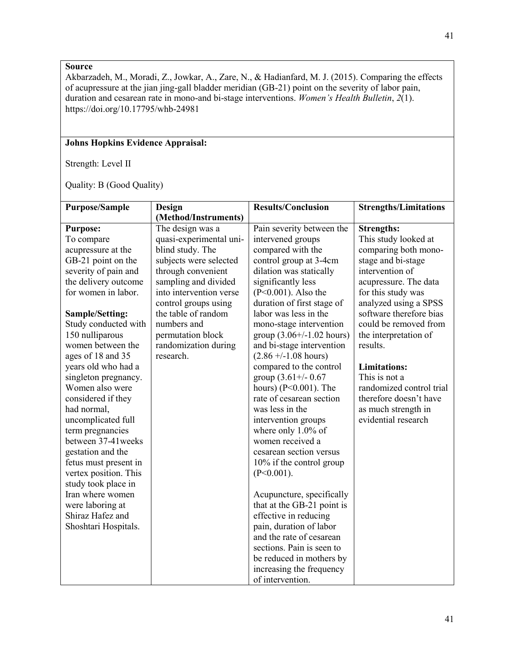Akbarzadeh, M., Moradi, Z., Jowkar, A., Zare, N., & Hadianfard, M. J. (2015). Comparing the effects of acupressure at the jian jing-gall bladder meridian (GB-21) point on the severity of labor pain, duration and cesarean rate in mono-and bi-stage interventions. *Women's Health Bulletin*, *2*(1). https://doi.org/10.17795/whb-24981

# **Johns Hopkins Evidence Appraisal:**

Strength: Level II

| <b>Purpose/Sample</b> | Design                  | <b>Results/Conclusion</b>      | <b>Strengths/Limitations</b> |
|-----------------------|-------------------------|--------------------------------|------------------------------|
|                       | (Method/Instruments)    |                                |                              |
| <b>Purpose:</b>       | The design was a        | Pain severity between the      | <b>Strengths:</b>            |
| To compare            | quasi-experimental uni- | intervened groups              | This study looked at         |
| acupressure at the    | blind study. The        | compared with the              | comparing both mono-         |
| GB-21 point on the    | subjects were selected  | control group at 3-4cm         | stage and bi-stage           |
| severity of pain and  | through convenient      | dilation was statically        | intervention of              |
| the delivery outcome  | sampling and divided    | significantly less             | acupressure. The data        |
| for women in labor.   | into intervention verse | $(P<0.001)$ . Also the         | for this study was           |
|                       | control groups using    | duration of first stage of     | analyzed using a SPSS        |
| Sample/Setting:       | the table of random     | labor was less in the          | software therefore bias      |
| Study conducted with  | numbers and             | mono-stage intervention        | could be removed from        |
| 150 nulliparous       | permutation block       | group $(3.06 + / -1.02$ hours) | the interpretation of        |
| women between the     | randomization during    | and bi-stage intervention      | results.                     |
| ages of 18 and 35     | research.               | $(2.86 +/-1.08$ hours)         |                              |
| years old who had a   |                         | compared to the control        | <b>Limitations:</b>          |
| singleton pregnancy.  |                         | group $(3.61 + / - 0.67)$      | This is not a                |
| Women also were       |                         | hours) (P<0.001). The          | randomized control trial     |
| considered if they    |                         | rate of cesarean section       | therefore doesn't have       |
| had normal,           |                         | was less in the                | as much strength in          |
| uncomplicated full    |                         | intervention groups            | evidential research          |
| term pregnancies      |                         | where only 1.0% of             |                              |
| between 37-41 weeks   |                         | women received a               |                              |
| gestation and the     |                         | cesarean section versus        |                              |
| fetus must present in |                         | 10% if the control group       |                              |
| vertex position. This |                         | $(P<0.001)$ .                  |                              |
| study took place in   |                         |                                |                              |
| Iran where women      |                         | Acupuncture, specifically      |                              |
| were laboring at      |                         | that at the GB-21 point is     |                              |
| Shiraz Hafez and      |                         | effective in reducing          |                              |
| Shoshtari Hospitals.  |                         | pain, duration of labor        |                              |
|                       |                         | and the rate of cesarean       |                              |
|                       |                         | sections. Pain is seen to      |                              |
|                       |                         | be reduced in mothers by       |                              |
|                       |                         | increasing the frequency       |                              |
|                       |                         | of intervention.               |                              |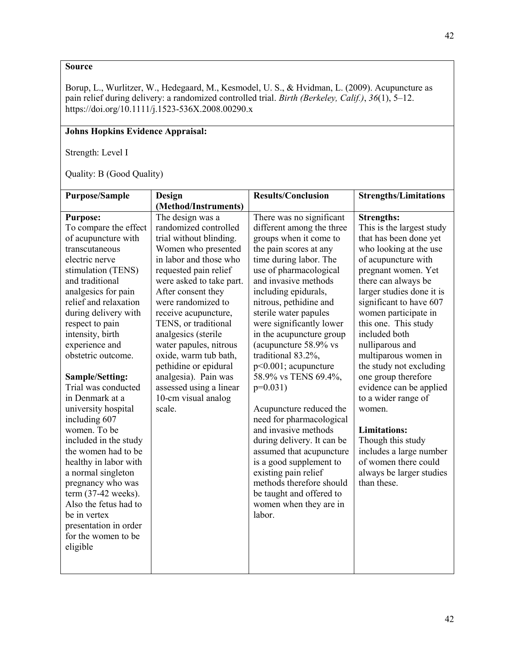Borup, L., Wurlitzer, W., Hedegaard, M., Kesmodel, U. S., & Hvidman, L. (2009). Acupuncture as pain relief during delivery: a randomized controlled trial. *Birth (Berkeley, Calif.)*, *36*(1), 5–12. https://doi.org/10.1111/j.1523-536X.2008.00290.x

# **Johns Hopkins Evidence Appraisal:**

Strength: Level I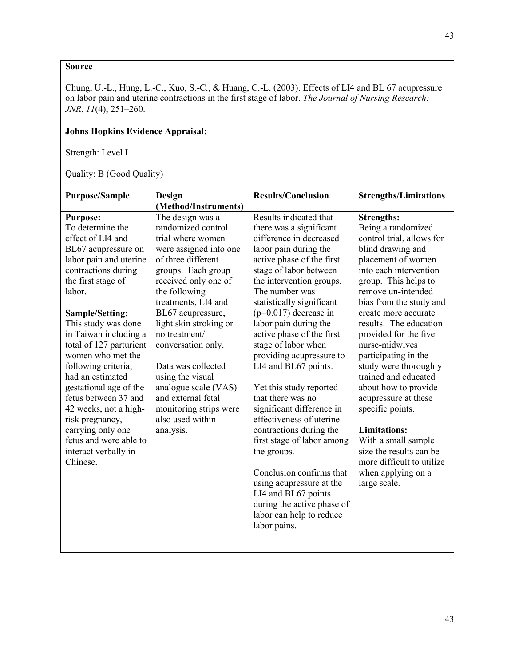Chung, U.-L., Hung, L.-C., Kuo, S.-C., & Huang, C.-L. (2003). Effects of LI4 and BL 67 acupressure on labor pain and uterine contractions in the first stage of labor. *The Journal of Nursing Research: JNR*, *11*(4), 251–260.

# **Johns Hopkins Evidence Appraisal:**

Strength: Level I

| <b>Purpose/Sample</b>                | <b>Design</b>                              | <b>Results/Conclusion</b>                             | <b>Strengths/Limitations</b> |
|--------------------------------------|--------------------------------------------|-------------------------------------------------------|------------------------------|
|                                      | (Method/Instruments)                       |                                                       |                              |
| <b>Purpose:</b>                      | The design was a                           | Results indicated that                                | <b>Strengths:</b>            |
| To determine the                     | randomized control                         | there was a significant                               | Being a randomized           |
| effect of LI4 and                    | trial where women                          | difference in decreased                               | control trial, allows for    |
| BL67 acupressure on                  | were assigned into one                     | labor pain during the                                 | blind drawing and            |
| labor pain and uterine               | of three different                         | active phase of the first                             | placement of women           |
| contractions during                  | groups. Each group                         | stage of labor between                                | into each intervention       |
| the first stage of                   | received only one of                       | the intervention groups.                              | group. This helps to         |
| labor.                               | the following                              | The number was                                        | remove un-intended           |
|                                      | treatments, LI4 and                        | statistically significant                             | bias from the study and      |
| Sample/Setting:                      | BL67 acupressure,                          | $(p=0.017)$ decrease in                               | create more accurate         |
| This study was done                  | light skin stroking or                     | labor pain during the                                 | results. The education       |
| in Taiwan including a                | no treatment/                              | active phase of the first                             | provided for the five        |
| total of 127 parturient              | conversation only.                         | stage of labor when                                   | nurse-midwives               |
| women who met the                    |                                            | providing acupressure to                              | participating in the         |
| following criteria;                  | Data was collected                         | LI4 and BL67 points.                                  | study were thoroughly        |
| had an estimated                     | using the visual                           |                                                       | trained and educated         |
| gestational age of the               | analogue scale (VAS)                       | Yet this study reported                               | about how to provide         |
| fetus between 37 and                 | and external fetal                         | that there was no                                     | acupressure at these         |
| 42 weeks, not a high-                | monitoring strips were<br>also used within | significant difference in<br>effectiveness of uterine | specific points.             |
| risk pregnancy,<br>carrying only one | analysis.                                  | contractions during the                               | <b>Limitations:</b>          |
| fetus and were able to               |                                            | first stage of labor among                            | With a small sample          |
| interact verbally in                 |                                            | the groups.                                           | size the results can be      |
| Chinese.                             |                                            |                                                       | more difficult to utilize    |
|                                      |                                            | Conclusion confirms that                              | when applying on a           |
|                                      |                                            | using acupressure at the                              | large scale.                 |
|                                      |                                            | LI4 and BL67 points                                   |                              |
|                                      |                                            | during the active phase of                            |                              |
|                                      |                                            | labor can help to reduce                              |                              |
|                                      |                                            | labor pains.                                          |                              |
|                                      |                                            |                                                       |                              |
|                                      |                                            |                                                       |                              |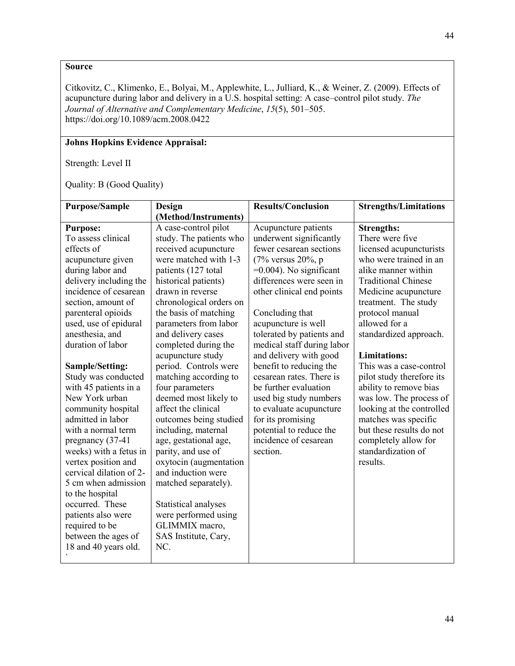Citkovitz, C., Klimenko, E., Bolyai, M., Applewhite, L., Julliard, K., & Weiner, Z. (2009). Effects of acupuncture during labor and delivery in a U.S. hospital setting: A case–control pilot study. *The Journal of Alternative and Complementary Medicine*, *15*(5), 501–505. https://doi.org/10.1089/acm.2008.0422

### **Johns Hopkins Evidence Appraisal:**

Strength: Level II

| <b>Purpose/Sample</b>   |                         | <b>Results/Conclusion</b>  |                              |
|-------------------------|-------------------------|----------------------------|------------------------------|
|                         | Design                  |                            | <b>Strengths/Limitations</b> |
|                         | (Method/Instruments)    |                            |                              |
| <b>Purpose:</b>         | A case-control pilot    | Acupuncture patients       | <b>Strengths:</b>            |
| To assess clinical      | study. The patients who | underwent significantly    | There were five              |
| effects of              | received acupuncture    | fewer cesarean sections    | licensed acupuncturists      |
| acupuncture given       | were matched with 1-3   | $(7\%$ versus $20\%$ , p   | who were trained in an       |
| during labor and        | patients (127 total)    | $=0.004$ ). No significant | alike manner within          |
| delivery including the  | historical patients)    | differences were seen in   | <b>Traditional Chinese</b>   |
| incidence of cesarean   | drawn in reverse        | other clinical end points  | Medicine acupuncture         |
| section, amount of      | chronological orders on |                            | treatment. The study         |
| parenteral opioids      | the basis of matching   | Concluding that            | protocol manual              |
| used, use of epidural   | parameters from labor   | acupuncture is well        | allowed for a                |
| anesthesia, and         | and delivery cases      | tolerated by patients and  | standardized approach.       |
| duration of labor       | completed during the    | medical staff during labor |                              |
|                         | acupuncture study       | and delivery with good     | <b>Limitations:</b>          |
| Sample/Setting:         | period. Controls were   | benefit to reducing the    | This was a case-control      |
| Study was conducted     | matching according to   | cesarean rates. There is   | pilot study therefore its    |
| with 45 patients in a   | four parameters         | be further evaluation      | ability to remove bias       |
| New York urban          | deemed most likely to   | used big study numbers     | was low. The process of      |
| community hospital      | affect the clinical     | to evaluate acupuncture    | looking at the controlled    |
| admitted in labor       | outcomes being studied  | for its promising          | matches was specific         |
| with a normal term      | including, maternal     | potential to reduce the    | but these results do not     |
| pregnancy (37-41        | age, gestational age,   | incidence of cesarean      | completely allow for         |
| weeks) with a fetus in  | parity, and use of      | section.                   | standardization of           |
| vertex position and     | oxytocin (augmentation  |                            | results.                     |
| cervical dilation of 2- | and induction were      |                            |                              |
| 5 cm when admission     | matched separately).    |                            |                              |
| to the hospital         |                         |                            |                              |
| occurred. These         | Statistical analyses    |                            |                              |
| patients also were      | were performed using    |                            |                              |
|                         | GLIMMIX macro,          |                            |                              |
| required to be          |                         |                            |                              |
| between the ages of     | SAS Institute, Cary,    |                            |                              |
| 18 and 40 years old.    | NC.                     |                            |                              |
|                         |                         |                            |                              |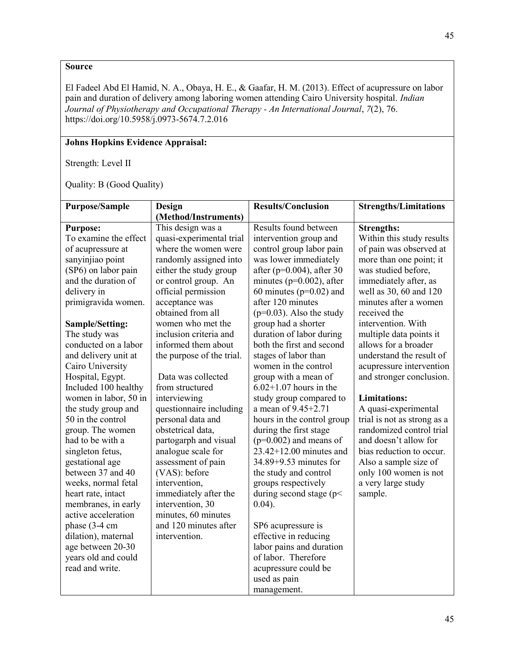El Fadeel Abd El Hamid, N. A., Obaya, H. E., & Gaafar, H. M. (2013). Effect of acupressure on labor pain and duration of delivery among laboring women attending Cairo University hospital. *Indian Journal of Physiotherapy and Occupational Therapy - An International Journal*, *7*(2), 76. https://doi.org/10.5958/j.0973-5674.7.2.016

# **Johns Hopkins Evidence Appraisal:**

Strength: Level II

| <b>Purpose/Sample</b> | Design                    | <b>Results/Conclusion</b>     | <b>Strengths/Limitations</b> |
|-----------------------|---------------------------|-------------------------------|------------------------------|
|                       | (Method/Instruments)      |                               |                              |
| <b>Purpose:</b>       | This design was a         | Results found between         | <b>Strengths:</b>            |
| To examine the effect | quasi-experimental trial  | intervention group and        | Within this study results    |
| of acupressure at     | where the women were      | control group labor pain      | of pain was observed at      |
| sanyinjiao point      | randomly assigned into    | was lower immediately         | more than one point; it      |
| (SP6) on labor pain   | either the study group    | after ( $p=0.004$ ), after 30 | was studied before,          |
| and the duration of   | or control group. An      | minutes ( $p=0.002$ ), after  | immediately after, as        |
| delivery in           | official permission       | 60 minutes ( $p=0.02$ ) and   | well as 30, 60 and 120       |
| primigravida women.   | acceptance was            | after 120 minutes             | minutes after a women        |
|                       | obtained from all         | $(p=0.03)$ . Also the study   | received the                 |
| Sample/Setting:       | women who met the         | group had a shorter           | intervention. With           |
| The study was         | inclusion criteria and    | duration of labor during      | multiple data points it      |
| conducted on a labor  | informed them about       | both the first and second     | allows for a broader         |
| and delivery unit at  | the purpose of the trial. | stages of labor than          | understand the result of     |
| Cairo University      |                           | women in the control          | acupressure intervention     |
| Hospital, Egypt.      | Data was collected        | group with a mean of          | and stronger conclusion.     |
| Included 100 healthy  | from structured           | $6.02+1.07$ hours in the      |                              |
| women in labor, 50 in | interviewing              | study group compared to       | <b>Limitations:</b>          |
| the study group and   | questionnaire including   | a mean of $9.45 + 2.71$       | A quasi-experimental         |
| 50 in the control     | personal data and         | hours in the control group    | trial is not as strong as a  |
| group. The women      | obstetrical data,         | during the first stage        | randomized control trial     |
| had to be with a      | partogarph and visual     | $(p=0.002)$ and means of      | and doesn't allow for        |
| singleton fetus,      | analogue scale for        | $23.42+12.00$ minutes and     | bias reduction to occur.     |
| gestational age       | assessment of pain        | 34.89+9.53 minutes for        | Also a sample size of        |
| between 37 and 40     | (VAS): before             | the study and control         | only 100 women is not        |
| weeks, normal fetal   | intervention,             | groups respectively           | a very large study           |
| heart rate, intact    | immediately after the     | during second stage ( $p$ <   | sample.                      |
| membranes, in early   | intervention, 30          | $0.04$ ).                     |                              |
| active acceleration   | minutes, 60 minutes       |                               |                              |
| phase $(3-4)$ cm      | and 120 minutes after     | SP6 acupressure is            |                              |
| dilation), maternal   | intervention.             | effective in reducing         |                              |
| age between 20-30     |                           | labor pains and duration      |                              |
| years old and could   |                           | of labor. Therefore           |                              |
| read and write.       |                           | acupressure could be          |                              |
|                       |                           | used as pain                  |                              |
|                       |                           | management.                   |                              |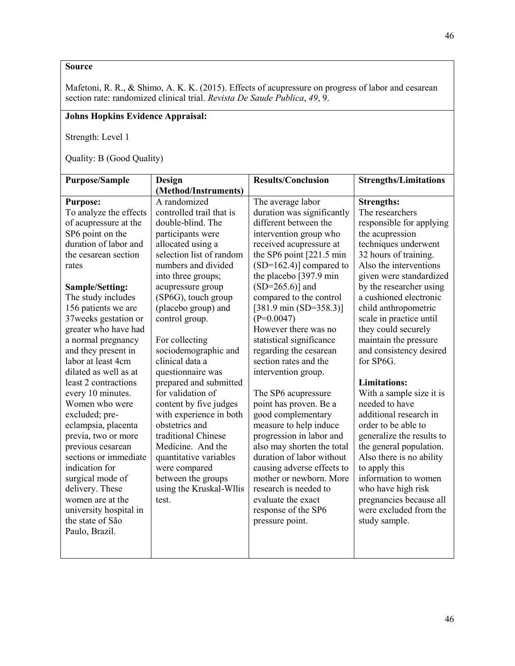Mafetoni, R. R., & Shimo, A. K. K. (2015). Effects of acupressure on progress of labor and cesarean section rate: randomized clinical trial. *Revista De Saude Publica*, *49*, 9.

# **Johns Hopkins Evidence Appraisal:**

Strength: Level 1

| <b>Purpose/Sample</b>  | <b>Design</b>            | <b>Results/Conclusion</b>           | <b>Strengths/Limitations</b> |
|------------------------|--------------------------|-------------------------------------|------------------------------|
|                        | (Method/Instruments)     |                                     |                              |
| <b>Purpose:</b>        | A randomized             | The average labor                   | <b>Strengths:</b>            |
| To analyze the effects | controlled trail that is | duration was significantly          | The researchers              |
| of acupressure at the  | double-blind. The        | different between the               | responsible for applying     |
| SP6 point on the       | participants were        | intervention group who              | the acupression              |
| duration of labor and  | allocated using a        | received acupressure at             | techniques underwent         |
| the cesarean section   | selection list of random | the SP6 point $[221.5 \text{ min}]$ | 32 hours of training.        |
| rates                  | numbers and divided      | $(SD=162.4)$ ] compared to          | Also the interventions       |
|                        | into three groups;       | the placebo [397.9 min]             | given were standardized      |
| Sample/Setting:        | acupressure group        | $(SD=265.6)$ ] and                  | by the researcher using      |
| The study includes     | (SP6G), touch group      | compared to the control             | a cushioned electronic       |
| 156 patients we are    | (placebo group) and      | $[381.9 \text{ min} (SD=358.3)]$    | child anthropometric         |
| 37 weeks gestation or  | control group.           | $(P=0.0047)$                        | scale in practice until      |
| greater who have had   |                          | However there was no                | they could securely          |
| a normal pregnancy     | For collecting           | statistical significance            | maintain the pressure        |
| and they present in    | sociodemographic and     | regarding the cesarean              | and consistency desired      |
| labor at least 4cm     | clinical data a          | section rates and the               | for SP6G.                    |
| dilated as well as at  | questionnaire was        | intervention group.                 |                              |
| least 2 contractions   | prepared and submitted   |                                     | <b>Limitations:</b>          |
| every 10 minutes.      | for validation of        | The SP6 acupressure                 | With a sample size it is     |
| Women who were         | content by five judges   | point has proven. Be a              | needed to have               |
| excluded; pre-         | with experience in both  | good complementary                  | additional research in       |
| eclampsia, placenta    | obstetrics and           | measure to help induce              | order to be able to          |
| previa, two or more    | traditional Chinese      | progression in labor and            | generalize the results to    |
| previous cesarean      | Medicine. And the        | also may shorten the total          | the general population.      |
| sections or immediate  | quantitative variables   | duration of labor without           | Also there is no ability     |
| indication for         | were compared            | causing adverse effects to          | to apply this                |
| surgical mode of       | between the groups       | mother or newborn. More             | information to women         |
| delivery. These        | using the Kruskal-Wllis  | research is needed to               | who have high risk           |
| women are at the       | test.                    | evaluate the exact                  | pregnancies because all      |
| university hospital in |                          | response of the SP6                 | were excluded from the       |
| the state of São       |                          | pressure point.                     | study sample.                |
| Paulo, Brazil.         |                          |                                     |                              |
|                        |                          |                                     |                              |
|                        |                          |                                     |                              |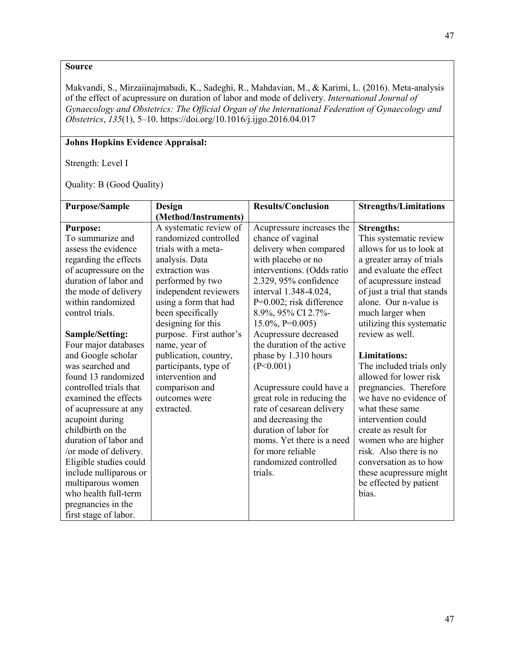Makvandi, S., Mirzaiinajmabadi, K., Sadeghi, R., Mahdavian, M., & Karimi, L. (2016). Meta-analysis of the effect of acupressure on duration of labor and mode of delivery. *International Journal of Gynaecology and Obstetrics: The Official Organ of the International Federation of Gynaecology and Obstetrics*, *135*(1), 5–10. https://doi.org/10.1016/j.ijgo.2016.04.017

### **Johns Hopkins Evidence Appraisal:**

Strength: Level I

| Purpose/Sample         | Design                  | <b>Results/Conclusion</b>   | <b>Strengths/Limitations</b> |
|------------------------|-------------------------|-----------------------------|------------------------------|
|                        | (Method/Instruments)    |                             |                              |
| <b>Purpose:</b>        | A systematic review of  | Acupressure increases the   | <b>Strengths:</b>            |
| To summarize and       | randomized controlled   | chance of vaginal           | This systematic review       |
| assess the evidence    | trials with a meta-     | delivery when compared      | allows for us to look at     |
| regarding the effects  | analysis. Data          | with placebo or no          | a greater array of trials    |
| of acupressure on the  | extraction was          | interventions. (Odds ratio  | and evaluate the effect      |
| duration of labor and  | performed by two        | 2.329, 95% confidence       | of acupressure instead       |
| the mode of delivery   | independent reviewers   | interval 1.348-4.024,       | of just a trial that stands  |
| within randomized      | using a form that had   | $P=0.002$ ; risk difference | alone. Our n-value is        |
| control trials.        | been specifically       | 8.9%, 95% CI 2.7%-          | much larger when             |
|                        | designing for this      | $15.0\%$ , P=0.005)         | utilizing this systematic    |
| <b>Sample/Setting:</b> | purpose. First author's | Acupressure decreased       | review as well.              |
| Four major databases   | name, year of           | the duration of the active  |                              |
| and Google scholar     | publication, country,   | phase by 1.310 hours        | <b>Limitations:</b>          |
| was searched and       | participants, type of   | (P<0.001)                   | The included trials only     |
| found 13 randomized    | intervention and        |                             | allowed for lower risk       |
| controlled trials that | comparison and          | Acupressure could have a    | pregnancies. Therefore       |
| examined the effects   | outcomes were           | great role in reducing the  | we have no evidence of       |
| of acupressure at any  | extracted.              | rate of cesarean delivery   | what these same              |
| acupoint during        |                         | and decreasing the          | intervention could           |
| childbirth on the      |                         | duration of labor for       | create as result for         |
| duration of labor and  |                         | moms. Yet there is a need   | women who are higher         |
| /or mode of delivery.  |                         | for more reliable           | risk. Also there is no       |
| Eligible studies could |                         | randomized controlled       | conversation as to how       |
| include nulliparous or |                         | trials.                     | these acupressure might      |
| multiparous women      |                         |                             | be effected by patient       |
| who health full-term   |                         |                             | bias.                        |
| pregnancies in the     |                         |                             |                              |
| first stage of labor.  |                         |                             |                              |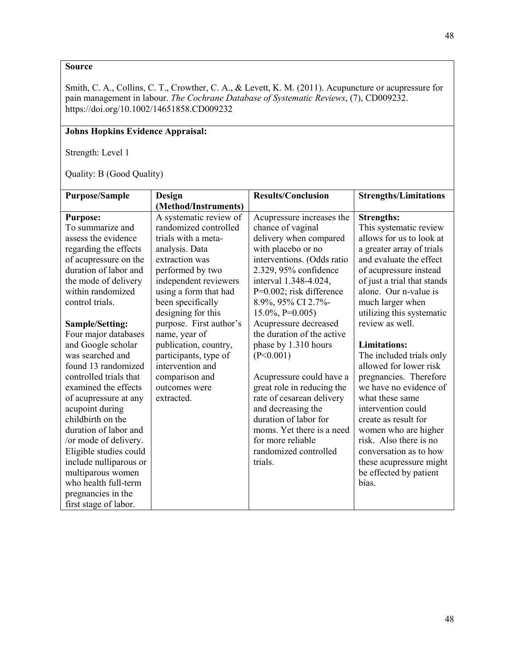Smith, C. A., Collins, C. T., Crowther, C. A., & Levett, K. M. (2011). Acupuncture or acupressure for pain management in labour. *The Cochrane Database of Systematic Reviews*, (7), CD009232. https://doi.org/10.1002/14651858.CD009232

# **Johns Hopkins Evidence Appraisal:**

Strength: Level 1

| <b>Purpose/Sample</b>  | Design                  | <b>Results/Conclusion</b>   | <b>Strengths/Limitations</b> |
|------------------------|-------------------------|-----------------------------|------------------------------|
|                        | (Method/Instruments)    |                             |                              |
| <b>Purpose:</b>        | A systematic review of  | Acupressure increases the   | <b>Strengths:</b>            |
| To summarize and       | randomized controlled   | chance of vaginal           | This systematic review       |
| assess the evidence    | trials with a meta-     | delivery when compared      | allows for us to look at     |
| regarding the effects  | analysis. Data          | with placebo or no          | a greater array of trials    |
| of acupressure on the  | extraction was          | interventions. (Odds ratio  | and evaluate the effect      |
| duration of labor and  | performed by two        | 2.329, 95% confidence       | of acupressure instead       |
| the mode of delivery   | independent reviewers   | interval 1.348-4.024,       | of just a trial that stands  |
| within randomized      | using a form that had   | $P=0.002$ ; risk difference | alone. Our n-value is        |
| control trials.        | been specifically       | 8.9%, 95% CI 2.7%-          | much larger when             |
|                        | designing for this      | $15.0\%$ , P=0.005)         | utilizing this systematic    |
| <b>Sample/Setting:</b> | purpose. First author's | Acupressure decreased       | review as well.              |
| Four major databases   | name, year of           | the duration of the active  |                              |
| and Google scholar     | publication, country,   | phase by 1.310 hours        | <b>Limitations:</b>          |
| was searched and       | participants, type of   | (P<0.001)                   | The included trials only     |
| found 13 randomized    | intervention and        |                             | allowed for lower risk       |
| controlled trials that | comparison and          | Acupressure could have a    | pregnancies. Therefore       |
| examined the effects   | outcomes were           | great role in reducing the  | we have no evidence of       |
| of acupressure at any  | extracted.              | rate of cesarean delivery   | what these same              |
| acupoint during        |                         | and decreasing the          | intervention could           |
| childbirth on the      |                         | duration of labor for       | create as result for         |
| duration of labor and  |                         | moms. Yet there is a need   | women who are higher         |
| /or mode of delivery.  |                         | for more reliable           | risk. Also there is no       |
| Eligible studies could |                         | randomized controlled       | conversation as to how       |
| include nulliparous or |                         | trials.                     | these acupressure might      |
| multiparous women      |                         |                             | be effected by patient       |
| who health full-term   |                         |                             | bias.                        |
| pregnancies in the     |                         |                             |                              |
| first stage of labor.  |                         |                             |                              |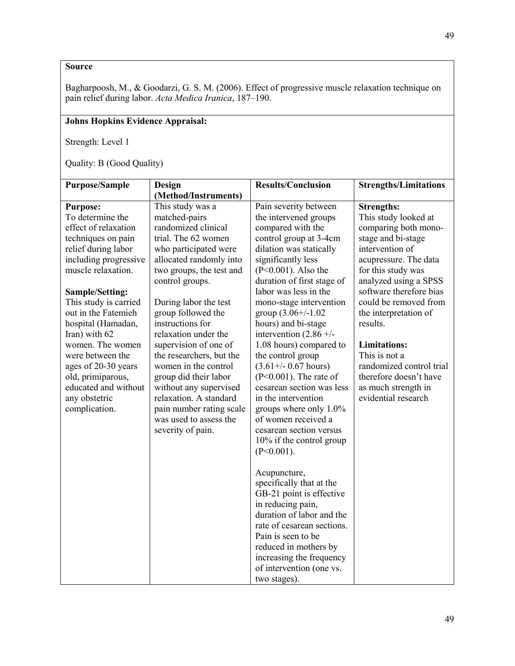Bagharpoosh, M., & Goodarzi, G. S. M. (2006). Effect of progressive muscle relaxation technique on pain relief during labor. *Acta Medica Iranica*, 187–190.

# **Johns Hopkins Evidence Appraisal:**

Strength: Level 1

| <b>Purpose/Sample</b>                                                                                                                      | Design                                                                                                                                                                                                                            | <b>Results/Conclusion</b>                                                                                                                                                                                                                                                           | <b>Strengths/Limitations</b>                                                                                                             |
|--------------------------------------------------------------------------------------------------------------------------------------------|-----------------------------------------------------------------------------------------------------------------------------------------------------------------------------------------------------------------------------------|-------------------------------------------------------------------------------------------------------------------------------------------------------------------------------------------------------------------------------------------------------------------------------------|------------------------------------------------------------------------------------------------------------------------------------------|
|                                                                                                                                            | (Method/Instruments)                                                                                                                                                                                                              |                                                                                                                                                                                                                                                                                     |                                                                                                                                          |
| <b>Purpose:</b><br>To determine the<br>effect of relaxation<br>techniques on pain                                                          | This study was a<br>matched-pairs<br>randomized clinical<br>trial. The 62 women                                                                                                                                                   | Pain severity between<br>the intervened groups<br>compared with the<br>control group at 3-4cm                                                                                                                                                                                       | <b>Strengths:</b><br>This study looked at<br>comparing both mono-<br>stage and bi-stage                                                  |
| relief during labor<br>including progressive<br>muscle relaxation.                                                                         | who participated were<br>allocated randomly into<br>two groups, the test and<br>control groups.                                                                                                                                   | dilation was statically<br>significantly less<br>$(P<0.001)$ . Also the<br>duration of first stage of                                                                                                                                                                               | intervention of<br>acupressure. The data<br>for this study was<br>analyzed using a SPSS                                                  |
| <b>Sample/Setting:</b><br>This study is carried<br>out in the Fatemieh<br>hospital (Hamadan,<br>Iran) with 62                              | During labor the test<br>group followed the<br>instructions for<br>relaxation under the                                                                                                                                           | labor was less in the<br>mono-stage intervention<br>group $(3.06 + (-1.02$<br>hours) and bi-stage<br>intervention $(2.86 +/-$                                                                                                                                                       | software therefore bias<br>could be removed from<br>the interpretation of<br>results.                                                    |
| women. The women<br>were between the<br>ages of 20-30 years<br>old, primiparous,<br>educated and without<br>any obstetric<br>complication. | supervision of one of<br>the researchers, but the<br>women in the control<br>group did their labor<br>without any supervised<br>relaxation. A standard<br>pain number rating scale<br>was used to assess the<br>severity of pain. | 1.08 hours) compared to<br>the control group<br>$(3.61 + / - 0.67$ hours)<br>$(P<0.001)$ . The rate of<br>cesarean section was less<br>in the intervention<br>groups where only 1.0%<br>of women received a<br>cesarean section versus<br>10% if the control group<br>$(P<0.001)$ . | <b>Limitations:</b><br>This is not a<br>randomized control trial<br>therefore doesn't have<br>as much strength in<br>evidential research |
|                                                                                                                                            |                                                                                                                                                                                                                                   | Acupuncture,<br>specifically that at the<br>GB-21 point is effective<br>in reducing pain,<br>duration of labor and the<br>rate of cesarean sections.<br>Pain is seen to be<br>reduced in mothers by<br>increasing the frequency<br>of intervention (one vs.<br>two stages).         |                                                                                                                                          |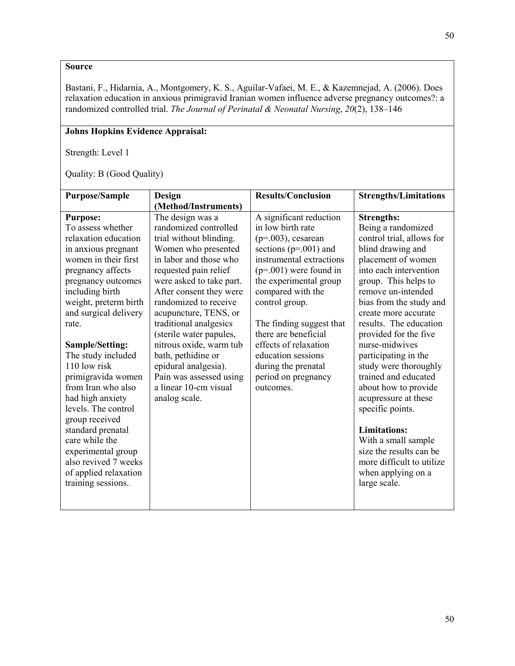Bastani, F., Hidarnia, A., Montgomery, K. S., Aguilar-Vafaei, M. E., & Kazemnejad, A. (2006). Does relaxation education in anxious primigravid Iranian women influence adverse pregnancy outcomes?: a randomized controlled trial. *The Journal of Perinatal & Neonatal Nursing*, *20*(2), 138–146

# **Johns Hopkins Evidence Appraisal:**

Strength: Level 1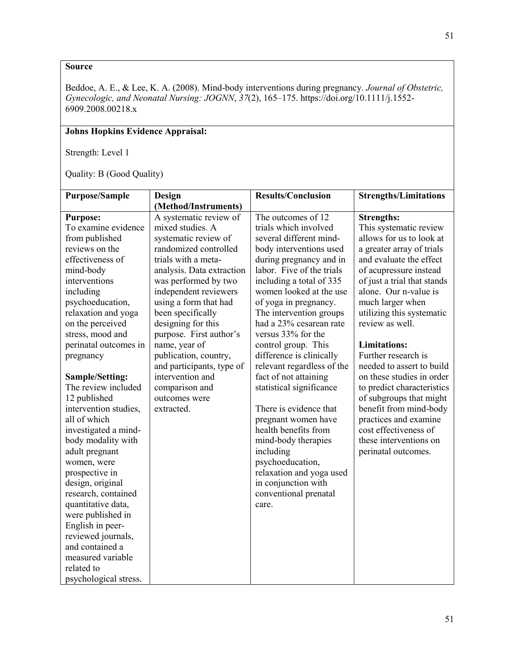Beddoe, A. E., & Lee, K. A. (2008). Mind-body interventions during pregnancy. *Journal of Obstetric, Gynecologic, and Neonatal Nursing: JOGNN*, *37*(2), 165–175. https://doi.org/10.1111/j.1552- 6909.2008.00218.x

# **Johns Hopkins Evidence Appraisal:**

Strength: Level 1

| <b>Purpose/Sample</b> | <b>Design</b>             | <b>Results/Conclusion</b>  | <b>Strengths/Limitations</b> |
|-----------------------|---------------------------|----------------------------|------------------------------|
|                       | (Method/Instruments)      |                            |                              |
| <b>Purpose:</b>       | A systematic review of    | The outcomes of 12         | <b>Strengths:</b>            |
| To examine evidence   | mixed studies. A          | trials which involved      | This systematic review       |
| from published        | systematic review of      | several different mind-    | allows for us to look at     |
| reviews on the        | randomized controlled     | body interventions used    | a greater array of trials    |
| effectiveness of      | trials with a meta-       | during pregnancy and in    | and evaluate the effect      |
| mind-body             | analysis. Data extraction | labor. Five of the trials  | of acupressure instead       |
| interventions         | was performed by two      | including a total of 335   | of just a trial that stands  |
| including             | independent reviewers     | women looked at the use    | alone. Our n-value is        |
| psychoeducation,      | using a form that had     | of yoga in pregnancy.      | much larger when             |
| relaxation and yoga   | been specifically         | The intervention groups    | utilizing this systematic    |
| on the perceived      | designing for this        | had a 23% cesarean rate    | review as well.              |
| stress, mood and      | purpose. First author's   | versus 33% for the         |                              |
| perinatal outcomes in | name, year of             | control group. This        | <b>Limitations:</b>          |
| pregnancy             | publication, country,     | difference is clinically   | Further research is          |
|                       | and participants, type of | relevant regardless of the | needed to assert to build    |
| Sample/Setting:       | intervention and          | fact of not attaining      | on these studies in order    |
| The review included   | comparison and            | statistical significance   | to predict characteristics   |
| 12 published          | outcomes were             |                            | of subgroups that might      |
| intervention studies, | extracted.                | There is evidence that     | benefit from mind-body       |
| all of which          |                           | pregnant women have        | practices and examine        |
| investigated a mind-  |                           | health benefits from       | cost effectiveness of        |
| body modality with    |                           | mind-body therapies        | these interventions on       |
| adult pregnant        |                           | including                  | perinatal outcomes.          |
| women, were           |                           | psychoeducation,           |                              |
| prospective in        |                           | relaxation and yoga used   |                              |
| design, original      |                           | in conjunction with        |                              |
| research, contained   |                           | conventional prenatal      |                              |
| quantitative data,    |                           | care.                      |                              |
| were published in     |                           |                            |                              |
| English in peer-      |                           |                            |                              |
| reviewed journals,    |                           |                            |                              |
| and contained a       |                           |                            |                              |
| measured variable     |                           |                            |                              |
| related to            |                           |                            |                              |
| psychological stress. |                           |                            |                              |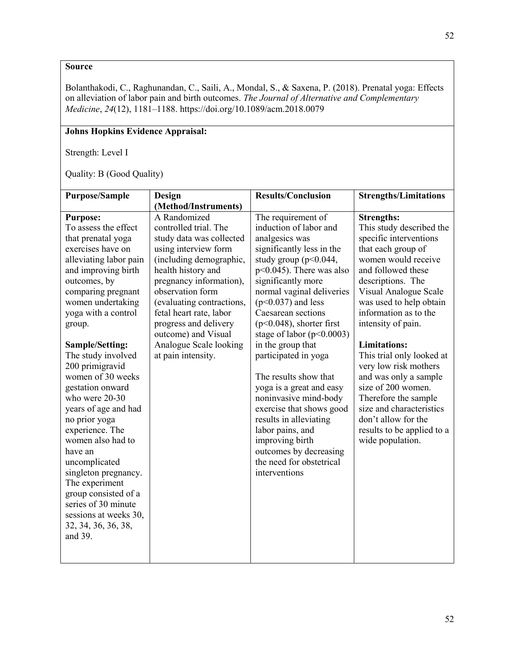Bolanthakodi, C., Raghunandan, C., Saili, A., Mondal, S., & Saxena, P. (2018). Prenatal yoga: Effects on alleviation of labor pain and birth outcomes. *The Journal of Alternative and Complementary Medicine*, *24*(12), 1181–1188. https://doi.org/10.1089/acm.2018.0079

# **Johns Hopkins Evidence Appraisal:**

Strength: Level I

| <b>Purpose/Sample</b>  | Design                    | <b>Results/Conclusion</b>   | <b>Strengths/Limitations</b> |
|------------------------|---------------------------|-----------------------------|------------------------------|
|                        | (Method/Instruments)      |                             |                              |
| <b>Purpose:</b>        | A Randomized              | The requirement of          | <b>Strengths:</b>            |
| To assess the effect   | controlled trial. The     | induction of labor and      | This study described the     |
| that prenatal yoga     | study data was collected  | analgesics was              | specific interventions       |
| exercises have on      | using interview form      | significantly less in the   | that each group of           |
| alleviating labor pain | (including demographic,   | study group ( $p<0.044$ ,   | women would receive          |
| and improving birth    | health history and        | $p<0.045$ ). There was also | and followed these           |
| outcomes, by           | pregnancy information),   | significantly more          | descriptions. The            |
| comparing pregnant     | observation form          | normal vaginal deliveries   | Visual Analogue Scale        |
| women undertaking      | (evaluating contractions, | $(p<0.037)$ and less        | was used to help obtain      |
| yoga with a control    | fetal heart rate, labor   | Caesarean sections          | information as to the        |
| group.                 | progress and delivery     | $(p<0.048)$ , shorter first | intensity of pain.           |
|                        | outcome) and Visual       | stage of labor $(p<0.0003)$ |                              |
| Sample/Setting:        | Analogue Scale looking    | in the group that           | <b>Limitations:</b>          |
| The study involved     | at pain intensity.        | participated in yoga        | This trial only looked at    |
| 200 primigravid        |                           |                             | very low risk mothers        |
| women of 30 weeks      |                           | The results show that       | and was only a sample        |
| gestation onward       |                           | yoga is a great and easy    | size of 200 women.           |
| who were 20-30         |                           | noninvasive mind-body       | Therefore the sample         |
| years of age and had   |                           | exercise that shows good    | size and characteristics     |
| no prior yoga          |                           | results in alleviating      | don't allow for the          |
| experience. The        |                           | labor pains, and            | results to be applied to a   |
| women also had to      |                           | improving birth             | wide population.             |
| have an                |                           | outcomes by decreasing      |                              |
| uncomplicated          |                           | the need for obstetrical    |                              |
| singleton pregnancy.   |                           | interventions               |                              |
| The experiment         |                           |                             |                              |
| group consisted of a   |                           |                             |                              |
| series of 30 minute    |                           |                             |                              |
| sessions at weeks 30,  |                           |                             |                              |
| 32, 34, 36, 36, 38,    |                           |                             |                              |
| and 39.                |                           |                             |                              |
|                        |                           |                             |                              |
|                        |                           |                             |                              |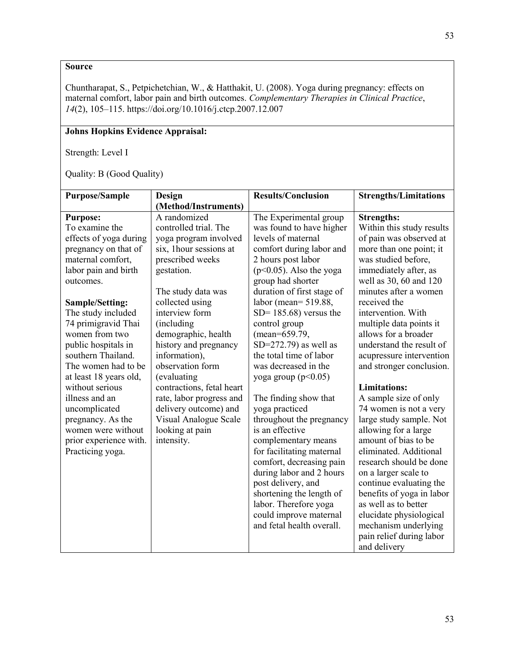Chuntharapat, S., Petpichetchian, W., & Hatthakit, U. (2008). Yoga during pregnancy: effects on maternal comfort, labor pain and birth outcomes. *Complementary Therapies in Clinical Practice*, *14*(2), 105–115. https://doi.org/10.1016/j.ctcp.2007.12.007

# **Johns Hopkins Evidence Appraisal:**

Strength: Level I

| <b>Purpose/Sample</b>                                                                                                                                                                                                                                                                                                                                                                                                                                                        | Design                                                                                                                                                                                                                                                                                                                                                                                                                                                 | <b>Results/Conclusion</b>                                                                                                                                                                                                                                                                                                                                                                                                                                                                                                                                                                                                                                                                                                                                | <b>Strengths/Limitations</b>                                                                                                                                                                                                                                                                                                                                                                                                                                                                                                                                                                                                                                                                                                                              |
|------------------------------------------------------------------------------------------------------------------------------------------------------------------------------------------------------------------------------------------------------------------------------------------------------------------------------------------------------------------------------------------------------------------------------------------------------------------------------|--------------------------------------------------------------------------------------------------------------------------------------------------------------------------------------------------------------------------------------------------------------------------------------------------------------------------------------------------------------------------------------------------------------------------------------------------------|----------------------------------------------------------------------------------------------------------------------------------------------------------------------------------------------------------------------------------------------------------------------------------------------------------------------------------------------------------------------------------------------------------------------------------------------------------------------------------------------------------------------------------------------------------------------------------------------------------------------------------------------------------------------------------------------------------------------------------------------------------|-----------------------------------------------------------------------------------------------------------------------------------------------------------------------------------------------------------------------------------------------------------------------------------------------------------------------------------------------------------------------------------------------------------------------------------------------------------------------------------------------------------------------------------------------------------------------------------------------------------------------------------------------------------------------------------------------------------------------------------------------------------|
|                                                                                                                                                                                                                                                                                                                                                                                                                                                                              | (Method/Instruments)                                                                                                                                                                                                                                                                                                                                                                                                                                   |                                                                                                                                                                                                                                                                                                                                                                                                                                                                                                                                                                                                                                                                                                                                                          |                                                                                                                                                                                                                                                                                                                                                                                                                                                                                                                                                                                                                                                                                                                                                           |
| <b>Purpose:</b><br>To examine the<br>effects of yoga during<br>pregnancy on that of<br>maternal comfort,<br>labor pain and birth<br>outcomes.<br>Sample/Setting:<br>The study included<br>74 primigravid Thai<br>women from two<br>public hospitals in<br>southern Thailand.<br>The women had to be<br>at least 18 years old,<br>without serious<br>illness and an<br>uncomplicated<br>pregnancy. As the<br>women were without<br>prior experience with.<br>Practicing yoga. | A randomized<br>controlled trial. The<br>yoga program involved<br>six, 1 hour sessions at<br>prescribed weeks<br>gestation.<br>The study data was<br>collected using<br>interview form<br>(including)<br>demographic, health<br>history and pregnancy<br>information),<br>observation form<br>(evaluating)<br>contractions, fetal heart<br>rate, labor progress and<br>delivery outcome) and<br>Visual Analogue Scale<br>looking at pain<br>intensity. | The Experimental group<br>was found to have higher<br>levels of maternal<br>comfort during labor and<br>2 hours post labor<br>$(p<0.05)$ . Also the yoga<br>group had shorter<br>duration of first stage of<br>labor (mean= $519.88$ ,<br>$SD = 185.68$ ) versus the<br>control group<br>(mean=659.79,<br>$SD=272.79$ ) as well as<br>the total time of labor<br>was decreased in the<br>yoga group ( $p<0.05$ )<br>The finding show that<br>yoga practiced<br>throughout the pregnancy<br>is an effective<br>complementary means<br>for facilitating maternal<br>comfort, decreasing pain<br>during labor and 2 hours<br>post delivery, and<br>shortening the length of<br>labor. Therefore yoga<br>could improve maternal<br>and fetal health overall. | <b>Strengths:</b><br>Within this study results<br>of pain was observed at<br>more than one point; it<br>was studied before,<br>immediately after, as<br>well as 30, 60 and 120<br>minutes after a women<br>received the<br>intervention. With<br>multiple data points it<br>allows for a broader<br>understand the result of<br>acupressure intervention<br>and stronger conclusion.<br><b>Limitations:</b><br>A sample size of only<br>74 women is not a very<br>large study sample. Not<br>allowing for a large<br>amount of bias to be<br>eliminated. Additional<br>research should be done<br>on a larger scale to<br>continue evaluating the<br>benefits of yoga in labor<br>as well as to better<br>elucidate physiological<br>mechanism underlying |
|                                                                                                                                                                                                                                                                                                                                                                                                                                                                              |                                                                                                                                                                                                                                                                                                                                                                                                                                                        |                                                                                                                                                                                                                                                                                                                                                                                                                                                                                                                                                                                                                                                                                                                                                          | pain relief during labor<br>and delivery                                                                                                                                                                                                                                                                                                                                                                                                                                                                                                                                                                                                                                                                                                                  |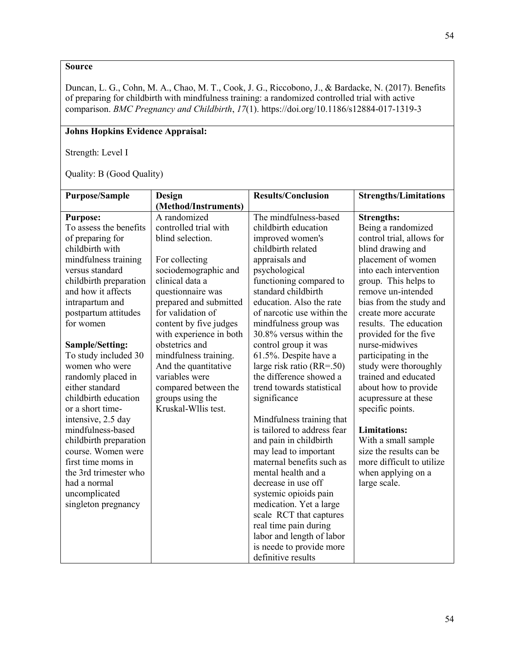Duncan, L. G., Cohn, M. A., Chao, M. T., Cook, J. G., Riccobono, J., & Bardacke, N. (2017). Benefits of preparing for childbirth with mindfulness training: a randomized controlled trial with active comparison. *BMC Pregnancy and Childbirth*, *17*(1). https://doi.org/10.1186/s12884-017-1319-3

# **Johns Hopkins Evidence Appraisal:**

Strength: Level I

| <b>Purpose/Sample</b>  | Design                  | <b>Results/Conclusion</b>     | <b>Strengths/Limitations</b> |
|------------------------|-------------------------|-------------------------------|------------------------------|
|                        | (Method/Instruments)    |                               |                              |
| <b>Purpose:</b>        | A randomized            | The mindfulness-based         | <b>Strengths:</b>            |
| To assess the benefits | controlled trial with   | childbirth education          | Being a randomized           |
| of preparing for       | blind selection.        | improved women's              | control trial, allows for    |
| childbirth with        |                         | childbirth related            | blind drawing and            |
| mindfulness training   | For collecting          | appraisals and                | placement of women           |
| versus standard        | sociodemographic and    | psychological                 | into each intervention       |
| childbirth preparation | clinical data a         | functioning compared to       | group. This helps to         |
| and how it affects     | questionnaire was       | standard childbirth           | remove un-intended           |
| intrapartum and        | prepared and submitted  | education. Also the rate      | bias from the study and      |
| postpartum attitudes   | for validation of       | of narcotic use within the    | create more accurate         |
| for women              | content by five judges  | mindfulness group was         | results. The education       |
|                        | with experience in both | 30.8% versus within the       | provided for the five        |
| Sample/Setting:        | obstetrics and          | control group it was          | nurse-midwives               |
| To study included 30   | mindfulness training.   | 61.5%. Despite have a         | participating in the         |
| women who were         | And the quantitative    | large risk ratio $(RR = .50)$ | study were thoroughly        |
| randomly placed in     | variables were          | the difference showed a       | trained and educated         |
| either standard        | compared between the    | trend towards statistical     | about how to provide         |
| childbirth education   | groups using the        | significance                  | acupressure at these         |
| or a short time-       | Kruskal-Wllis test.     |                               | specific points.             |
| intensive, 2.5 day     |                         | Mindfulness training that     |                              |
| mindfulness-based      |                         | is tailored to address fear   | <b>Limitations:</b>          |
| childbirth preparation |                         | and pain in childbirth        | With a small sample          |
| course. Women were     |                         | may lead to important         | size the results can be      |
| first time moms in     |                         | maternal benefits such as     | more difficult to utilize    |
| the 3rd trimester who  |                         | mental health and a           | when applying on a           |
| had a normal           |                         | decrease in use off           | large scale.                 |
| uncomplicated          |                         | systemic opioids pain         |                              |
| singleton pregnancy    |                         | medication. Yet a large       |                              |
|                        |                         | scale RCT that captures       |                              |
|                        |                         | real time pain during         |                              |
|                        |                         | labor and length of labor     |                              |
|                        |                         | is neede to provide more      |                              |
|                        |                         | definitive results            |                              |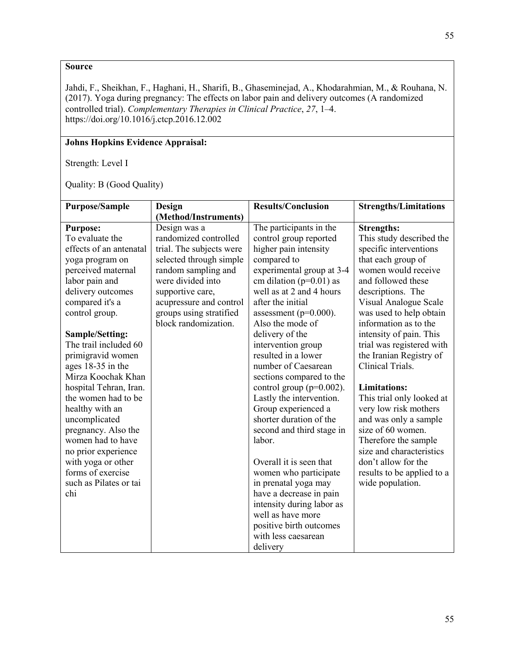Jahdi, F., Sheikhan, F., Haghani, H., Sharifi, B., Ghaseminejad, A., Khodarahmian, M., & Rouhana, N. (2017). Yoga during pregnancy: The effects on labor pain and delivery outcomes (A randomized controlled trial). *Complementary Therapies in Clinical Practice*, *27*, 1–4. https://doi.org/10.1016/j.ctcp.2016.12.002

# **Johns Hopkins Evidence Appraisal:**

Strength: Level I

| <b>Purpose/Sample</b>   | Design                   | <b>Results/Conclusion</b>    | <b>Strengths/Limitations</b> |
|-------------------------|--------------------------|------------------------------|------------------------------|
|                         | (Method/Instruments)     |                              |                              |
| <b>Purpose:</b>         | Design was a             | The participants in the      | <b>Strengths:</b>            |
| To evaluate the         | randomized controlled    | control group reported       | This study described the     |
| effects of an antenatal | trial. The subjects were | higher pain intensity        | specific interventions       |
| yoga program on         | selected through simple  | compared to                  | that each group of           |
| perceived maternal      | random sampling and      | experimental group at 3-4    | women would receive          |
| labor pain and          | were divided into        | cm dilation ( $p=0.01$ ) as  | and followed these           |
| delivery outcomes       | supportive care,         | well as at 2 and 4 hours     | descriptions. The            |
| compared it's a         | acupressure and control  | after the initial            | Visual Analogue Scale        |
| control group.          | groups using stratified  | assessment ( $p=0.000$ ).    | was used to help obtain      |
|                         | block randomization.     | Also the mode of             | information as to the        |
| Sample/Setting:         |                          | delivery of the              | intensity of pain. This      |
| The trail included 60   |                          | intervention group           | trial was registered with    |
| primigravid women       |                          | resulted in a lower          | the Iranian Registry of      |
| ages 18-35 in the       |                          | number of Caesarean          | Clinical Trials.             |
| Mirza Koochak Khan      |                          | sections compared to the     |                              |
| hospital Tehran, Iran.  |                          | control group ( $p=0.002$ ). | <b>Limitations:</b>          |
| the women had to be     |                          | Lastly the intervention.     | This trial only looked at    |
| healthy with an         |                          | Group experienced a          | very low risk mothers        |
| uncomplicated           |                          | shorter duration of the      | and was only a sample        |
| pregnancy. Also the     |                          | second and third stage in    | size of 60 women.            |
| women had to have       |                          | labor.                       | Therefore the sample         |
| no prior experience     |                          |                              | size and characteristics     |
| with yoga or other      |                          | Overall it is seen that      | don't allow for the          |
| forms of exercise       |                          | women who participate        | results to be applied to a   |
| such as Pilates or tai  |                          | in prenatal yoga may         | wide population.             |
| chi                     |                          | have a decrease in pain      |                              |
|                         |                          | intensity during labor as    |                              |
|                         |                          | well as have more            |                              |
|                         |                          | positive birth outcomes      |                              |
|                         |                          | with less caesarean          |                              |
|                         |                          | delivery                     |                              |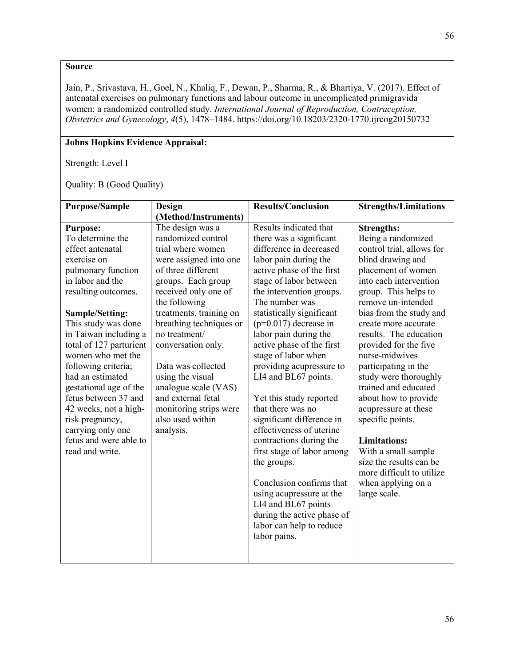Jain, P., Srivastava, H., Goel, N., Khaliq, F., Dewan, P., Sharma, R., & Bhartiya, V. (2017). Effect of antenatal exercises on pulmonary functions and labour outcome in uncomplicated primigravida women: a randomized controlled study. *International Journal of Reproduction, Contraception, Obstetrics and Gynecology*, *4*(5), 1478–1484. https://doi.org/10.18203/2320-1770.ijrcog20150732

# **Johns Hopkins Evidence Appraisal:**

Strength: Level I

| <b>Purpose/Sample</b>   | Design                  | <b>Results/Conclusion</b>                | <b>Strengths/Limitations</b> |
|-------------------------|-------------------------|------------------------------------------|------------------------------|
|                         | (Method/Instruments)    |                                          |                              |
| <b>Purpose:</b>         | The design was a        | Results indicated that                   | <b>Strengths:</b>            |
| To determine the        | randomized control      | there was a significant                  | Being a randomized           |
| effect antenatal        | trial where women       | difference in decreased                  | control trial, allows for    |
| exercise on             | were assigned into one  | labor pain during the                    | blind drawing and            |
| pulmonary function      | of three different      | active phase of the first                | placement of women           |
| in labor and the        | groups. Each group      | stage of labor between                   | into each intervention       |
| resulting outcomes.     | received only one of    | the intervention groups.                 | group. This helps to         |
|                         | the following           | The number was                           | remove un-intended           |
| Sample/Setting:         | treatments, training on | statistically significant                | bias from the study and      |
| This study was done     | breathing techniques or | $(p=0.017)$ decrease in                  | create more accurate         |
| in Taiwan including a   | no treatment/           | labor pain during the                    | results. The education       |
| total of 127 parturient | conversation only.      | active phase of the first                | provided for the five        |
| women who met the       |                         | stage of labor when                      | nurse-midwives               |
| following criteria;     | Data was collected      | providing acupressure to                 | participating in the         |
| had an estimated        | using the visual        | LI4 and BL67 points.                     | study were thoroughly        |
| gestational age of the  | analogue scale (VAS)    |                                          | trained and educated         |
| fetus between 37 and    | and external fetal      | Yet this study reported                  | about how to provide         |
| 42 weeks, not a high-   | monitoring strips were  | that there was no                        | acupressure at these         |
| risk pregnancy,         | also used within        | significant difference in                | specific points.             |
| carrying only one       | analysis.               | effectiveness of uterine                 |                              |
| fetus and were able to  |                         | contractions during the                  | <b>Limitations:</b>          |
| read and write.         |                         | first stage of labor among               | With a small sample          |
|                         |                         | the groups.                              | size the results can be      |
|                         |                         |                                          | more difficult to utilize    |
|                         |                         | Conclusion confirms that                 | when applying on a           |
|                         |                         | using acupressure at the                 | large scale.                 |
|                         |                         | LI4 and BL67 points                      |                              |
|                         |                         | during the active phase of               |                              |
|                         |                         | labor can help to reduce<br>labor pains. |                              |
|                         |                         |                                          |                              |
|                         |                         |                                          |                              |
|                         |                         |                                          |                              |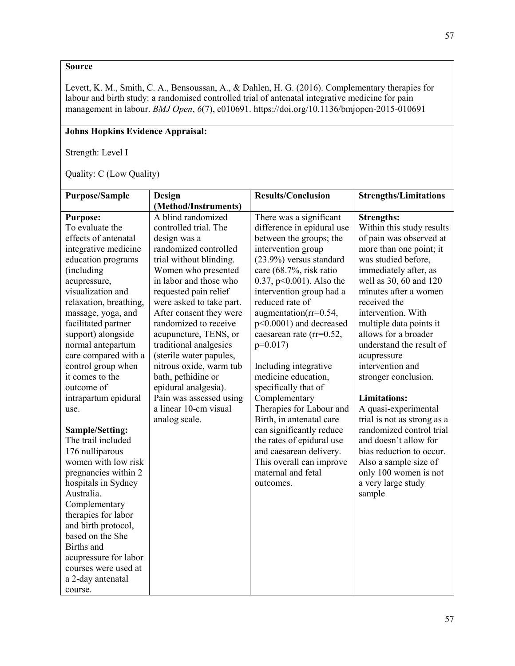Levett, K. M., Smith, C. A., Bensoussan, A., & Dahlen, H. G. (2016). Complementary therapies for labour and birth study: a randomised controlled trial of antenatal integrative medicine for pain management in labour. *BMJ Open*, *6*(7), e010691. https://doi.org/10.1136/bmjopen-2015-010691

# **Johns Hopkins Evidence Appraisal:**

Strength: Level I

Quality: C (Low Quality)

| <b>Purpose/Sample</b><br><b>Strengths/Limitations</b><br><b>Design</b><br>(Method/Instruments)<br>A blind randomized<br>There was a significant<br><b>Purpose:</b><br><b>Strengths:</b><br>To evaluate the<br>controlled trial. The<br>difference in epidural use<br>Within this study results<br>effects of antenatal<br>of pain was observed at<br>between the groups; the<br>design was a<br>randomized controlled<br>intervention group<br>integrative medicine<br>more than one point; it<br>education programs<br>trial without blinding.<br>$(23.9\%)$ versus standard<br>was studied before,<br>(including<br>Women who presented<br>immediately after, as<br>care (68.7%, risk ratio |
|-----------------------------------------------------------------------------------------------------------------------------------------------------------------------------------------------------------------------------------------------------------------------------------------------------------------------------------------------------------------------------------------------------------------------------------------------------------------------------------------------------------------------------------------------------------------------------------------------------------------------------------------------------------------------------------------------|
|                                                                                                                                                                                                                                                                                                                                                                                                                                                                                                                                                                                                                                                                                               |
|                                                                                                                                                                                                                                                                                                                                                                                                                                                                                                                                                                                                                                                                                               |
|                                                                                                                                                                                                                                                                                                                                                                                                                                                                                                                                                                                                                                                                                               |
|                                                                                                                                                                                                                                                                                                                                                                                                                                                                                                                                                                                                                                                                                               |
|                                                                                                                                                                                                                                                                                                                                                                                                                                                                                                                                                                                                                                                                                               |
|                                                                                                                                                                                                                                                                                                                                                                                                                                                                                                                                                                                                                                                                                               |
|                                                                                                                                                                                                                                                                                                                                                                                                                                                                                                                                                                                                                                                                                               |
| in labor and those who<br>well as 30, 60 and 120<br>0.37, $p<0.001$ ). Also the<br>acupressure,                                                                                                                                                                                                                                                                                                                                                                                                                                                                                                                                                                                               |
| visualization and<br>requested pain relief<br>intervention group had a<br>minutes after a women                                                                                                                                                                                                                                                                                                                                                                                                                                                                                                                                                                                               |
| reduced rate of<br>received the<br>relaxation, breathing,<br>were asked to take part.                                                                                                                                                                                                                                                                                                                                                                                                                                                                                                                                                                                                         |
| After consent they were<br>augmentation(rr=0.54,<br>intervention. With<br>massage, yoga, and                                                                                                                                                                                                                                                                                                                                                                                                                                                                                                                                                                                                  |
| randomized to receive<br>p<0.0001) and decreased<br>facilitated partner<br>multiple data points it                                                                                                                                                                                                                                                                                                                                                                                                                                                                                                                                                                                            |
| allows for a broader<br>caesarean rate (rr=0.52,<br>support) alongside<br>acupuncture, TENS, or                                                                                                                                                                                                                                                                                                                                                                                                                                                                                                                                                                                               |
| traditional analgesics<br>understand the result of<br>normal antepartum<br>$p=0.017$                                                                                                                                                                                                                                                                                                                                                                                                                                                                                                                                                                                                          |
| care compared with a<br>(sterile water papules,<br>acupressure                                                                                                                                                                                                                                                                                                                                                                                                                                                                                                                                                                                                                                |
| intervention and<br>nitrous oxide, warm tub<br>control group when<br>Including integrative                                                                                                                                                                                                                                                                                                                                                                                                                                                                                                                                                                                                    |
| medicine education,<br>it comes to the<br>bath, pethidine or<br>stronger conclusion.                                                                                                                                                                                                                                                                                                                                                                                                                                                                                                                                                                                                          |
| epidural analgesia).<br>specifically that of<br>outcome of                                                                                                                                                                                                                                                                                                                                                                                                                                                                                                                                                                                                                                    |
| Pain was assessed using<br>Complementary<br>intrapartum epidural<br><b>Limitations:</b>                                                                                                                                                                                                                                                                                                                                                                                                                                                                                                                                                                                                       |
| a linear 10-cm visual<br>Therapies for Labour and<br>A quasi-experimental<br>use.                                                                                                                                                                                                                                                                                                                                                                                                                                                                                                                                                                                                             |
| trial is not as strong as a<br>analog scale.<br>Birth, in antenatal care                                                                                                                                                                                                                                                                                                                                                                                                                                                                                                                                                                                                                      |
| randomized control trial<br>can significantly reduce<br>Sample/Setting:                                                                                                                                                                                                                                                                                                                                                                                                                                                                                                                                                                                                                       |
| and doesn't allow for<br>The trail included<br>the rates of epidural use                                                                                                                                                                                                                                                                                                                                                                                                                                                                                                                                                                                                                      |
| 176 nulliparous<br>and caesarean delivery.<br>bias reduction to occur.                                                                                                                                                                                                                                                                                                                                                                                                                                                                                                                                                                                                                        |
| women with low risk<br>This overall can improve<br>Also a sample size of                                                                                                                                                                                                                                                                                                                                                                                                                                                                                                                                                                                                                      |
| pregnancies within 2<br>maternal and fetal<br>only 100 women is not                                                                                                                                                                                                                                                                                                                                                                                                                                                                                                                                                                                                                           |
| a very large study<br>hospitals in Sydney<br>outcomes.<br>Australia.                                                                                                                                                                                                                                                                                                                                                                                                                                                                                                                                                                                                                          |
| sample                                                                                                                                                                                                                                                                                                                                                                                                                                                                                                                                                                                                                                                                                        |
| Complementary<br>therapies for labor                                                                                                                                                                                                                                                                                                                                                                                                                                                                                                                                                                                                                                                          |
| and birth protocol,                                                                                                                                                                                                                                                                                                                                                                                                                                                                                                                                                                                                                                                                           |
| based on the She                                                                                                                                                                                                                                                                                                                                                                                                                                                                                                                                                                                                                                                                              |
| Births and                                                                                                                                                                                                                                                                                                                                                                                                                                                                                                                                                                                                                                                                                    |
| acupressure for labor                                                                                                                                                                                                                                                                                                                                                                                                                                                                                                                                                                                                                                                                         |
| courses were used at                                                                                                                                                                                                                                                                                                                                                                                                                                                                                                                                                                                                                                                                          |
| a 2-day antenatal                                                                                                                                                                                                                                                                                                                                                                                                                                                                                                                                                                                                                                                                             |
| course.                                                                                                                                                                                                                                                                                                                                                                                                                                                                                                                                                                                                                                                                                       |